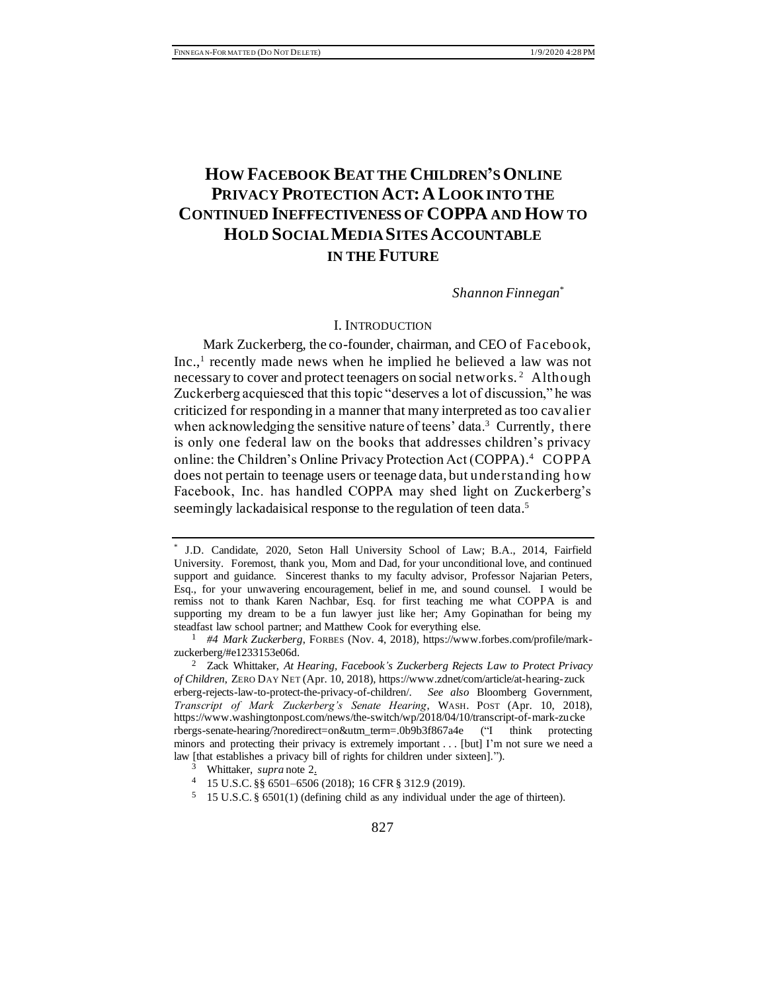# **HOW FACEBOOK BEAT THE CHILDREN'S ONLINE PRIVACY PROTECTION ACT:A LOOK INTO THE CONTINUED INEFFECTIVENESS OF COPPA AND HOW TO HOLD SOCIAL MEDIA SITES ACCOUNTABLE IN THE FUTURE**

<span id="page-0-0"></span>*Shannon Finnegan\**

## I. INTRODUCTION

Mark Zuckerberg, the co-founder, chairman, and CEO of Facebook, Inc.,<sup>1</sup> recently made news when he implied he believed a law was not necessary to cover and protect teenagers on social networks.<sup>2</sup> Although Zuckerberg acquiesced that this topic "deserves a lot of discussion," he was criticized for responding in a manner that many interpreted as too cavalier when acknowledging the sensitive nature of teens' data.<sup>3</sup> Currently, there is only one federal law on the books that addresses children's privacy online: the Children's Online Privacy Protection Act (COPPA).<sup>4</sup> COPPA does not pertain to teenage users or teenage data, but understanding how Facebook, Inc. has handled COPPA may shed light on Zuckerberg's seemingly lackadaisical response to the regulation of teen data.<sup>5</sup>

- <sup>3</sup> Whittaker, *supra* note [2.](#page-0-0)
- <sup>4</sup> 15 U.S.C. §§ 6501–6506 (2018); 16 CFR § 312.9 (2019).
- <sup>5</sup> 15 U.S.C. § 6501(1) (defining child as any individual under the age of thirteen).

<sup>\*</sup> J.D. Candidate, 2020, Seton Hall University School of Law; B.A., 2014, Fairfield University. Foremost, thank you, Mom and Dad, for your unconditional love, and continued support and guidance. Sincerest thanks to my faculty advisor, Professor Najarian Peters, Esq., for your unwavering encouragement, belief in me, and sound counsel. I would be remiss not to thank Karen Nachbar, Esq. for first teaching me what COPPA is and supporting my dream to be a fun lawyer just like her; Amy Gopinathan for being my steadfast law school partner; and Matthew Cook for everything else.

<sup>1</sup> *#4 Mark Zuckerberg*, FORBES (Nov. 4, 2018), https://www.forbes.com/profile/markzuckerberg/#e1233153e06d.

<sup>2</sup> Zack Whittaker, *At Hearing, Facebook's Zuckerberg Rejects Law to Protect Privacy of Children*, ZERO DAY NET (Apr. 10, 2018), https://www.zdnet/com/article/at-hearing-zuck erberg-rejects-law-to-protect-the-privacy-of-children/. *See also* Bloomberg Government, *Transcript of Mark Zuckerberg's Senate Hearing*, WASH. POST (Apr. 10, 2018), https://www.washingtonpost.com/news/the-switch/wp/2018/04/10/transcript-of-mark-zucke rbergs-senate-hearing/?noredirect=on&utm\_term=.0b9b3f867a4e ("I think protecting minors and protecting their privacy is extremely important . . . [but] I'm not sure we need a law [that establishes a privacy bill of rights for children under sixteen].").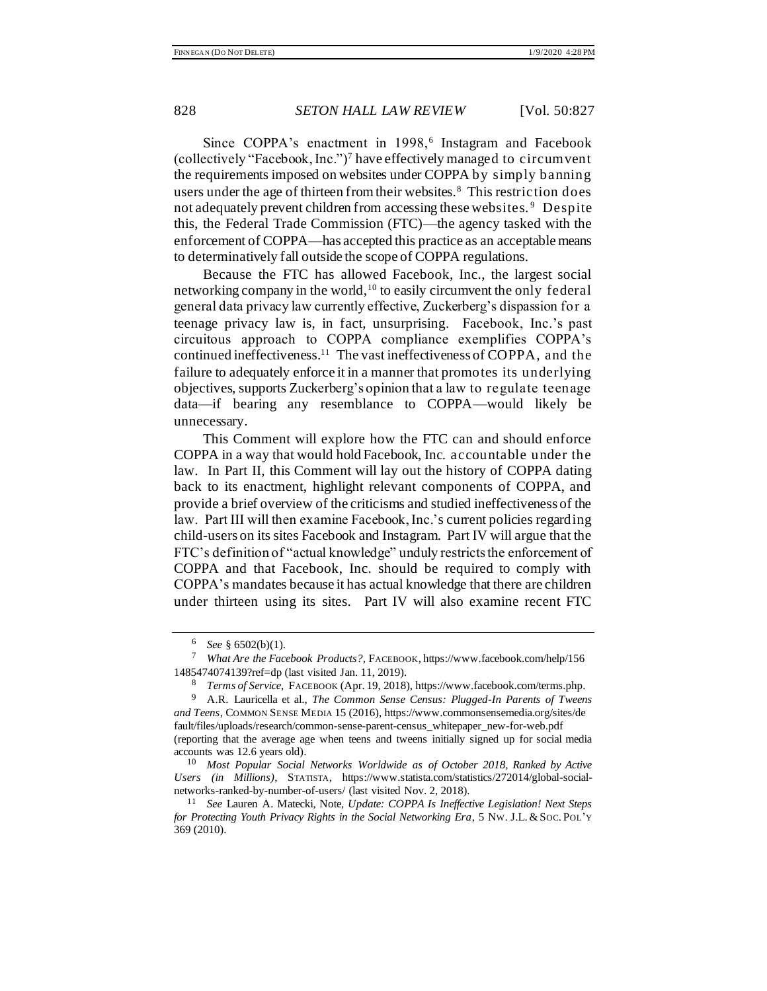<span id="page-1-2"></span><span id="page-1-1"></span><span id="page-1-0"></span>Since COPPA's enactment in 1998,<sup>6</sup> Instagram and Facebook (collectively "Facebook, Inc.")<sup>7</sup> have effectively managed to circumvent the requirements imposed on websites under COPPA by simply banning users under the age of thirteen from their websites.<sup>8</sup> This restriction does not adequately prevent children from accessing these websites. <sup>9</sup> Despite this, the Federal Trade Commission (FTC)—the agency tasked with the enforcement of COPPA—has accepted this practice as an acceptable means to determinatively fall outside the scope of COPPA regulations.

<span id="page-1-3"></span>Because the FTC has allowed Facebook, Inc., the largest social networking company in the world,<sup>10</sup> to easily circumvent the only federal general data privacy law currently effective, Zuckerberg's dispassion for a teenage privacy law is, in fact, unsurprising. Facebook, Inc.'s past circuitous approach to COPPA compliance exemplifies COPPA's continued ineffectiveness.<sup>11</sup> The vast ineffectiveness of COPPA, and the failure to adequately enforce it in a manner that promotes its underlying objectives, supports Zuckerberg's opinion that a law to regulate teenage data—if bearing any resemblance to COPPA—would likely be unnecessary.

This Comment will explore how the FTC can and should enforce COPPA in a way that would hold Facebook, Inc. accountable under the law. In Part II, this Comment will lay out the history of COPPA dating back to its enactment, highlight relevant components of COPPA, and provide a brief overview of the criticisms and studied ineffectiveness of the law. Part III will then examine Facebook, Inc.'s current policies regarding child-users on its sites Facebook and Instagram. Part IV will argue that the FTC's definition of "actual knowledge" unduly restricts the enforcement of COPPA and that Facebook, Inc. should be required to comply with COPPA's mandates because it has actual knowledge that there are children under thirteen using its sites. Part IV will also examine recent FTC

<sup>6</sup> *See* § 6502(b)(1).

<sup>7</sup> *What Are the Facebook Products?*, FACEBOOK, https://www.facebook.com/help/156 1485474074139?ref=dp (last visited Jan. 11, 2019).

<sup>8</sup> *Terms of Service*, FACEBOOK (Apr. 19, 2018), https://www.facebook.com/terms.php.

<sup>9</sup> A.R. Lauricella et al., *The Common Sense Census: Plugged-In Parents of Tweens and Teens*, COMMON SENSE MEDIA 15 (2016), https://www.commonsensemedia.org/sites/de fault/files/uploads/research/common-sense-parent-census\_whitepaper\_new-for-web.pdf (reporting that the average age when teens and tweens initially signed up for social media accounts was 12.6 years old).

<sup>10</sup> *Most Popular Social Networks Worldwide as of October 2018, Ranked by Active Users (in Millions)*, STATISTA, https://www.statista.com/statistics/272014/global-socialnetworks-ranked-by-number-of-users/ (last visited Nov. 2, 2018).

<sup>11</sup> *See* Lauren A. Matecki, Note, *Update: COPPA Is Ineffective Legislation! Next Steps for Protecting Youth Privacy Rights in the Social Networking Era*, 5 NW. J.L. &SOC. POL'Y 369 (2010).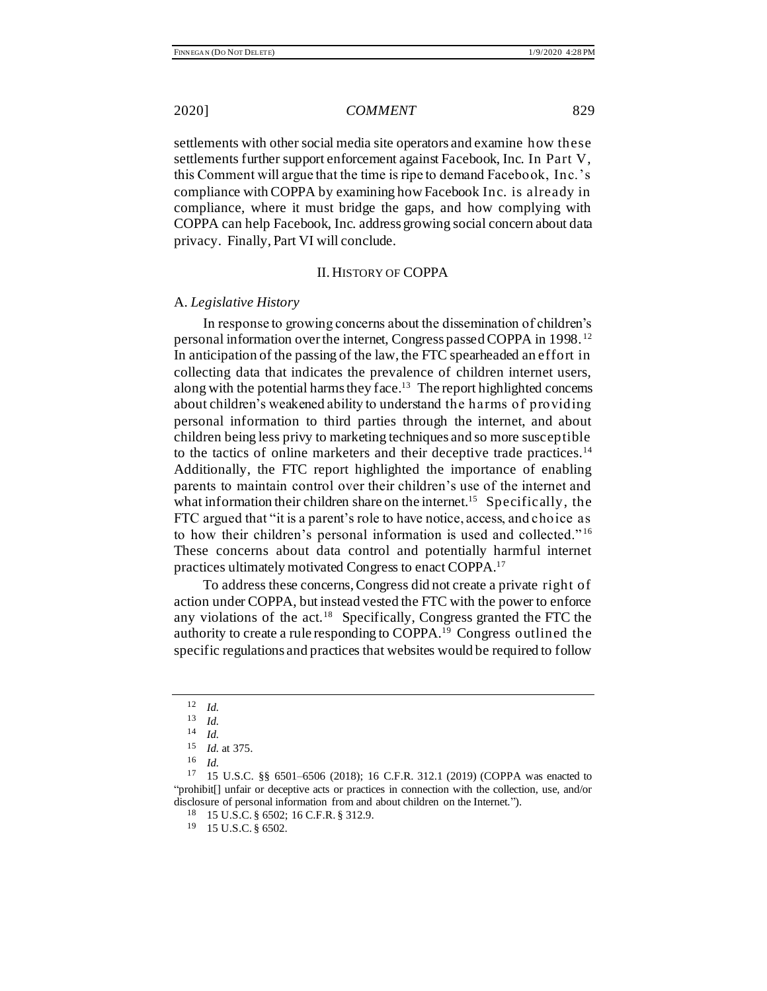settlements with other social media site operators and examine how these settlements further support enforcement against Facebook, Inc. In Part V, this Comment will argue that the time is ripe to demand Facebook, Inc.'s compliance with COPPA by examining how Facebook Inc. is already in compliance, where it must bridge the gaps, and how complying with COPPA can help Facebook, Inc. address growing social concern about data privacy. Finally, Part VI will conclude.

### II. HISTORY OF COPPA

### A. *Legislative History*

In response to growing concerns about the dissemination of children's personal information over the internet, Congress passed COPPA in 1998. <sup>12</sup> In anticipation of the passing of the law, the FTC spearheaded an effort in collecting data that indicates the prevalence of children internet users, along with the potential harms they face.<sup>13</sup> The report highlighted concerns about children's weakened ability to understand the harms of providing personal information to third parties through the internet, and about children being less privy to marketing techniques and so more susceptible to the tactics of online marketers and their deceptive trade practices.<sup>14</sup> Additionally, the FTC report highlighted the importance of enabling parents to maintain control over their children's use of the internet and what information their children share on the internet.<sup>15</sup> Specifically, the FTC argued that "it is a parent's role to have notice, access, and choice as to how their children's personal information is used and collected." <sup>16</sup> These concerns about data control and potentially harmful internet practices ultimately motivated Congress to enact COPPA.<sup>17</sup>

To address these concerns, Congress did not create a private right of action under COPPA, but instead vested the FTC with the power to enforce any violations of the act.<sup>18</sup> Specifically, Congress granted the FTC the authority to create a rule responding to COPPA.<sup>19</sup> Congress outlined the specific regulations and practices that websites would be required to follow

<sup>12</sup> *Id.*

 $\frac{13}{14}$  *Id.* 

<sup>14</sup> *Id.*

<sup>15</sup> *Id.* at 375.

 $\frac{16}{17}$  *Id.* 

<sup>17</sup> 15 U.S.C. §§ 6501–6506 (2018); 16 C.F.R. 312.1 (2019) (COPPA was enacted to "prohibit[] unfair or deceptive acts or practices in connection with the collection, use, and/or disclosure of personal information from and about children on the Internet.").

<sup>18</sup> 15 U.S.C. § 6502; 16 C.F.R. § 312.9.

<sup>19</sup> 15 U.S.C. § 6502.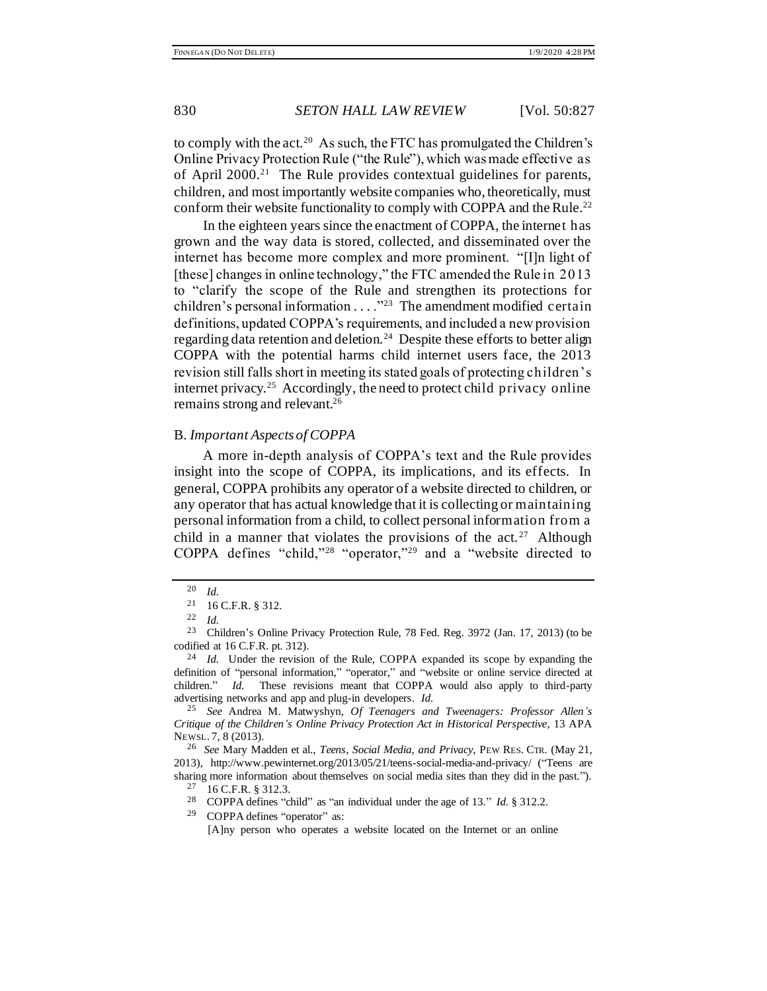to comply with the act.<sup>20</sup> As such, the FTC has promulgated the Children's Online Privacy Protection Rule ("the Rule"), which was made effective as of April 2000.<sup>21</sup> The Rule provides contextual guidelines for parents, children, and most importantly website companies who, theoretically, must conform their website functionality to comply with COPPA and the Rule.<sup>22</sup>

In the eighteen years since the enactment of COPPA, the internet has grown and the way data is stored, collected, and disseminated over the internet has become more complex and more prominent. "[I]n light of [these] changes in online technology," the FTC amended the Rule in 2013 to "clarify the scope of the Rule and strengthen its protections for children's personal information  $\ldots$ <sup>23</sup> The amendment modified certain definitions, updated COPPA's requirements, and included a new provision regarding data retention and deletion.<sup>24</sup> Despite these efforts to better align COPPA with the potential harms child internet users face, the 2013 revision still falls short in meeting its stated goals of protecting children's internet privacy.<sup>25</sup> Accordingly, the need to protect child privacy online remains strong and relevant.<sup>26</sup>

### <span id="page-3-0"></span>B. *Important Aspects of COPPA*

A more in-depth analysis of COPPA's text and the Rule provides insight into the scope of COPPA, its implications, and its effects. In general, COPPA prohibits any operator of a website directed to children, or any operator that has actual knowledge that it is collecting or maintaining personal information from a child, to collect personal information from a child in a manner that violates the provisions of the  $act.^{27}$  Although COPPA defines "child,"<sup>28</sup> "operator,"<sup>29</sup> and a "website directed to

<sup>26</sup> *See* Mary Madden et al., *Teens, Social Media, and Privacy*, PEW RES. CTR. (May 21, 2013), http://www.pewinternet.org/2013/05/21/teens-social-media-and-privacy/ ("Teens are sharing more information about themselves on social media sites than they did in the past.").

 $27$  16 C.F.R. § 312.3.

<sup>28</sup> COPPA defines "child" as "an individual under the age of 13." *Id.* § 312.2.

<sup>29</sup> COPPA defines "operator" as:

[A]ny person who operates a website located on the Internet or an online

<sup>20</sup> *Id.*

<sup>21</sup> 16 C.F.R. § 312.

<sup>22</sup> *Id.* 

<sup>23</sup> Children's Online Privacy Protection Rule, 78 Fed. Reg. 3972 (Jan. 17, 2013) (to be codified at 16 C.F.R. pt. 312).

<sup>&</sup>lt;sup>24</sup> *Id.* Under the revision of the Rule, COPPA expanded its scope by expanding the definition of "personal information," "operator," and "website or online service directed at children." *Id.* These revisions meant that COPPA would also apply to third-party advertising networks and app and plug-in developers. *Id.*

<sup>25</sup> *See* Andrea M. Matwyshyn, *Of Teenagers and Tweenagers: Professor Allen's Critique of the Children's Online Privacy Protection Act in Historical Perspective*, 13 APA NEWSL. 7, 8 (2013).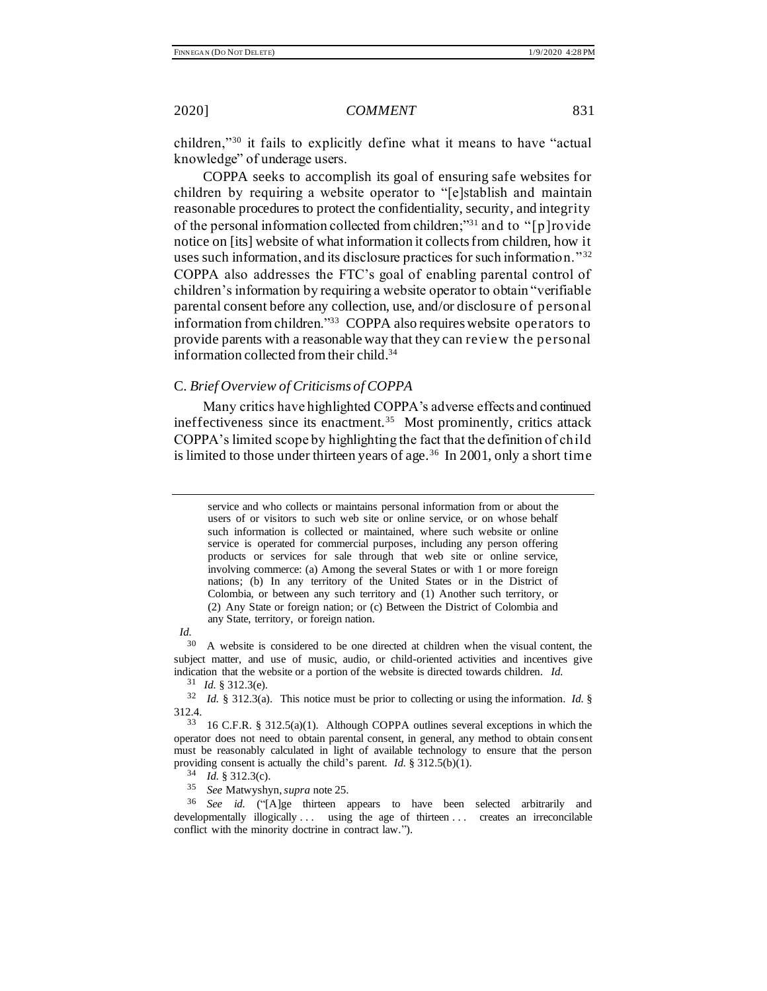children,"<sup>30</sup> it fails to explicitly define what it means to have "actual knowledge" of underage users.

COPPA seeks to accomplish its goal of ensuring safe websites for children by requiring a website operator to "[e]stablish and maintain reasonable procedures to protect the confidentiality, security, and integrity of the personal information collected from children;"<sup>31</sup> and to "[p]rovide notice on [its] website of what information it collects from children, how it uses such information, and its disclosure practices for such information."<sup>32</sup> COPPA also addresses the FTC's goal of enabling parental control of children's information by requiring a website operator to obtain "verifiable parental consent before any collection, use, and/or disclosure of personal information from children."<sup>33</sup> COPPA also requires website operators to provide parents with a reasonable way that they can review the personal information collected from their child.<sup>34</sup>

## C. *Brief Overview of Criticisms of COPPA*

Many critics have highlighted COPPA's adverse effects and continued ineffectiveness since its enactment.<sup>35</sup> Most prominently, critics attack COPPA's limited scope by highlighting the fact that the definition of child is limited to those under thirteen years of age.<sup>36</sup> In 2001, only a short time

*Id.* 

<sup>30</sup> A website is considered to be one directed at children when the visual content, the subject matter, and use of music, audio, or child-oriented activities and incentives give indication that the website or a portion of the website is directed towards children. *Id.*

<sup>31</sup> *Id.* § 312.3(e).

<sup>32</sup> *Id.* § 312.3(a). This notice must be prior to collecting or using the information. *Id.* § 312.4.

<sup>33</sup> 16 C.F.R. § 312.5(a)(1). Although COPPA outlines several exceptions in which the operator does not need to obtain parental consent, in general, any method to obtain consent must be reasonably calculated in light of available technology to ensure that the person providing consent is actually the child's parent. *Id.* § 312.5(b)(1).

<sup>34</sup> *Id.* § 312.3(c).

<sup>35</sup> *See* Matwyshyn, *supra* not[e 25.](#page-3-0) 

<sup>36</sup> *See id.* ("[A]ge thirteen appears to have been selected arbitrarily and developmentally illogically ... using the age of thirteen ... creates an irreconcilable conflict with the minority doctrine in contract law.").

service and who collects or maintains personal information from or about the users of or visitors to such web site or online service, or on whose behalf such information is collected or maintained, where such website or online service is operated for commercial purposes, including any person offering products or services for sale through that web site or online service, involving commerce: (a) Among the several States or with 1 or more foreign nations; (b) In any territory of the United States or in the District of Colombia, or between any such territory and (1) Another such territory, or (2) Any State or foreign nation; or (c) Between the District of Colombia and any State, territory, or foreign nation.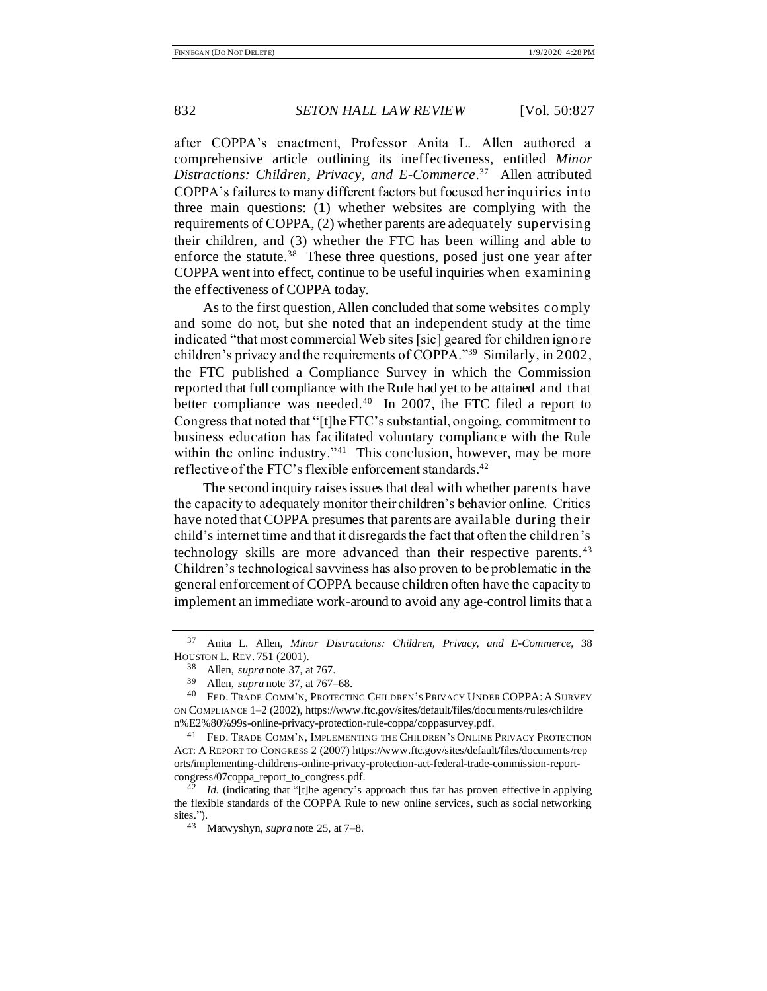<span id="page-5-0"></span>

after COPPA's enactment, Professor Anita L. Allen authored a comprehensive article outlining its ineffectiveness, entitled *Minor Distractions: Children, Privacy, and E-Commerce*. <sup>37</sup> Allen attributed COPPA's failures to many different factors but focused her inquiries into three main questions: (1) whether websites are complying with the requirements of COPPA, (2) whether parents are adequately supervising their children, and (3) whether the FTC has been willing and able to enforce the statute.<sup>38</sup> These three questions, posed just one year after COPPA went into effect, continue to be useful inquiries when examining the effectiveness of COPPA today.

As to the first question, Allen concluded that some websites comply and some do not, but she noted that an independent study at the time indicated "that most commercial Web sites [sic] geared for children ignore children's privacy and the requirements of COPPA."<sup>39</sup> Similarly, in 2002, the FTC published a Compliance Survey in which the Commission reported that full compliance with the Rule had yet to be attained and that better compliance was needed.<sup>40</sup> In 2007, the FTC filed a report to Congress that noted that "[t]he FTC's substantial, ongoing, commitment to business education has facilitated voluntary compliance with the Rule within the online industry."<sup>41</sup> This conclusion, however, may be more reflective of the FTC's flexible enforcement standards.<sup>42</sup>

The second inquiry raises issues that deal with whether parents have the capacity to adequately monitor their children's behavior online. Critics have noted that COPPA presumes that parents are available during their child's internet time and that it disregards the fact that often the children's technology skills are more advanced than their respective parents.<sup>43</sup> Children's technological savviness has also proven to be problematic in the general enforcement of COPPA because children often have the capacity to implement an immediate work-around to avoid any age-control limits that a

<sup>37</sup> Anita L. Allen, *Minor Distractions: Children, Privacy, and E-Commerce*, 38 HOUSTON L. REV. 751 (2001).

<sup>38</sup> Allen, *supra* note [37,](#page-5-0) at 767.

<sup>39</sup> Allen, *supra* note [37,](#page-5-0) at 767–68.

<sup>40</sup> FED. TRADE COMM'N, PROTECTING CHILDREN'S PRIVACY UNDER COPPA: A SURVEY ON COMPLIANCE 1–2 (2002), https://www.ftc.gov/sites/default/files/documents/rules/childre n%E2%80%99s-online-privacy-protection-rule-coppa/coppasurvey.pdf.

<sup>41</sup> FED. TRADE COMM'N, IMPLEMENTING THE CHILDREN'S ONLINE PRIVACY PROTECTION ACT: A REPORT TO CONGRESS 2 (2007) https://www.ftc.gov/sites/default/files/documents/rep orts/implementing-childrens-online-privacy-protection-act-federal-trade-commission-reportcongress/07coppa\_report\_to\_congress.pdf.

<sup>&</sup>lt;sup>42</sup> *Id.* (indicating that "[t]he agency's approach thus far has proven effective in applying the flexible standards of the COPPA Rule to new online services, such as social networking sites.").

<sup>43</sup> Matwyshyn, *supra* not[e 25,](#page-3-0) at 7–8.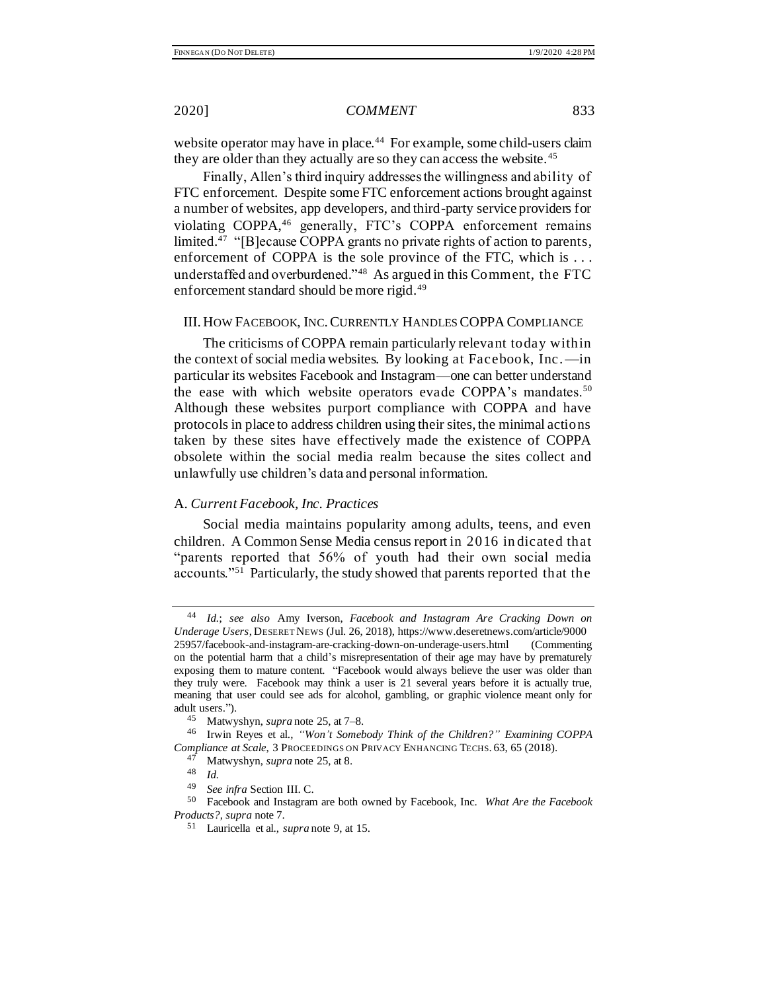<span id="page-6-0"></span>website operator may have in place.<sup>44</sup> For example, some child-users claim they are older than they actually are so they can access the website.<sup>45</sup>

Finally, Allen's third inquiry addresses the willingness and ability of FTC enforcement. Despite some FTC enforcement actions brought against a number of websites, app developers, and third-party service providers for violating COPPA,<sup>46</sup> generally, FTC's COPPA enforcement remains limited.<sup>47</sup> "[B]ecause COPPA grants no private rights of action to parents, enforcement of COPPA is the sole province of the FTC, which is ... understaffed and overburdened."<sup>48</sup> As argued in this Comment, the FTC enforcement standard should be more rigid.<sup>49</sup>

### III. HOW FACEBOOK, INC.CURRENTLY HANDLES COPPA COMPLIANCE

The criticisms of COPPA remain particularly relevant today within the context of social media websites. By looking at Facebook, Inc.—in particular its websites Facebook and Instagram—one can better understand the ease with which website operators evade COPPA's mandates.<sup>50</sup> Although these websites purport compliance with COPPA and have protocols in place to address children using their sites, the minimal actions taken by these sites have effectively made the existence of COPPA obsolete within the social media realm because the sites collect and unlawfully use children's data and personal information.

### A. *Current Facebook, Inc. Practices*

Social media maintains popularity among adults, teens, and even children. A Common Sense Media census report in 2016 in dicated that "parents reported that 56% of youth had their own social media accounts."<sup>51</sup> Particularly, the study showed that parents reported that the

<sup>44</sup> *Id.*; *see also* Amy Iverson, *Facebook and Instagram Are Cracking Down on Underage Users*, DESERET NEWS (Jul. 26, 2018), https://www.deseretnews.com/article/9000 25957/facebook-and-instagram-are-cracking-down-on-underage-users.html (Commenting on the potential harm that a child's misrepresentation of their age may have by prematurely exposing them to mature content. "Facebook would always believe the user was older than they truly were. Facebook may think a user is 21 several years before it is actually true, meaning that user could see ads for alcohol, gambling, or graphic violence meant only for adult users.").

<sup>45</sup> Matwyshyn, *supra* not[e 25,](#page-3-0) at 7–8.

<sup>46</sup> Irwin Reyes et al., *"Won't Somebody Think of the Children?" Examining COPPA Compliance at Scale*, 3 PROCEEDINGS ON PRIVACY ENHANCING TECHS. 63, 65 (2018).

<sup>47</sup> Matwyshyn, *supra* not[e 25,](#page-3-0) at 8.

<sup>48</sup> *Id.*

<sup>49</sup> *See infra* Section III. C.

<sup>50</sup> Facebook and Instagram are both owned by Facebook, Inc. *What Are the Facebook Products?*, *supra* note [7.](#page-1-0)

<sup>51</sup> Lauricella et al., *supra* note [9,](#page-1-1) at 15.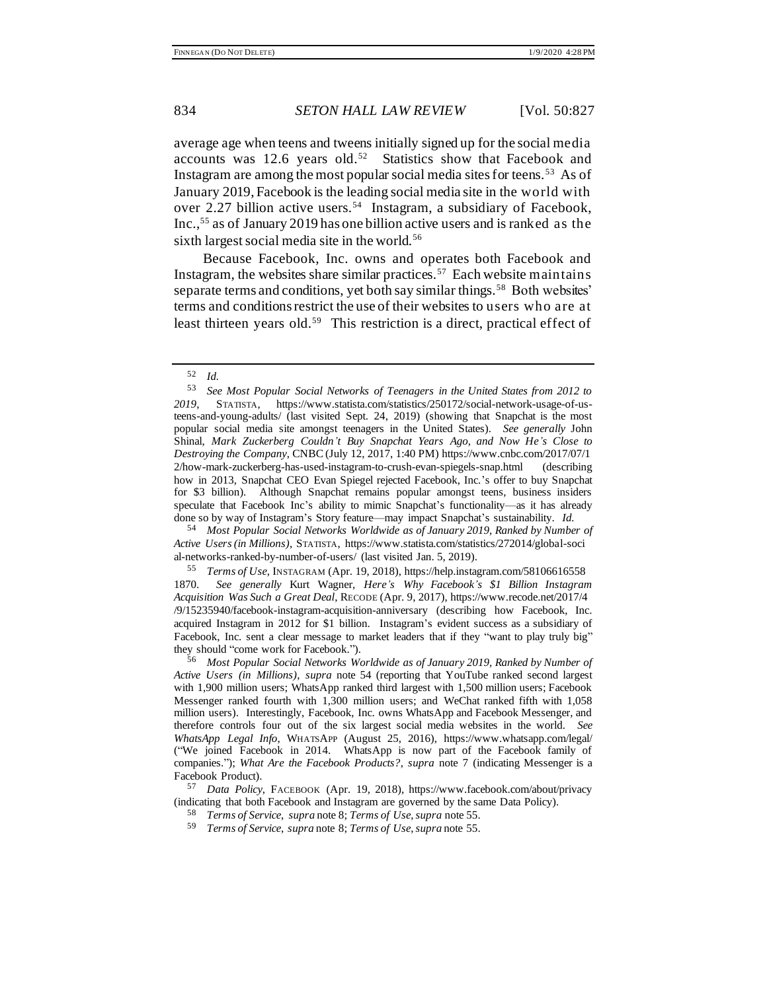average age when teens and tweens initially signed up for the social media accounts was 12.6 years old.<sup>52</sup> Statistics show that Facebook and Instagram are among the most popular social media sites for teens.<sup>53</sup> As of January 2019, Facebook is the leading social media site in the world with over 2.27 billion active users.<sup>54</sup> Instagram, a subsidiary of Facebook, Inc.,<sup>55</sup> as of January 2019 has one billion active users and is ranked as the sixth largest social media site in the world.<sup>56</sup>

<span id="page-7-2"></span><span id="page-7-1"></span><span id="page-7-0"></span>Because Facebook, Inc. owns and operates both Facebook and Instagram, the websites share similar practices.<sup>57</sup> Each website maintains separate terms and conditions, yet both say similar things.<sup>58</sup> Both websites' terms and conditions restrict the use of their websites to users who are at least thirteen years old.<sup>59</sup> This restriction is a direct, practical effect of

<sup>54</sup> *Most Popular Social Networks Worldwide as of January 2019, Ranked by Number of Active Users (in Millions)*, STATISTA, https://www.statista.com/statistics/272014/global-soci al-networks-ranked-by-number-of-users/ (last visited Jan. 5, 2019).

<sup>55</sup> *Terms of Use*, INSTAGRAM (Apr. 19, 2018), https://help.instagram.com/58106616558 1870. *See generally* Kurt Wagner, *Here's Why Facebook's \$1 Billion Instagram Acquisition Was Such a Great Deal*, RECODE (Apr. 9, 2017), https://www.recode.net/2017/4 /9/15235940/facebook-instagram-acquisition-anniversary (describing how Facebook, Inc. acquired Instagram in 2012 for \$1 billion. Instagram's evident success as a subsidiary of Facebook, Inc. sent a clear message to market leaders that if they "want to play truly big" they should "come work for Facebook.").

<sup>52</sup> *Id.*

<sup>53</sup> *See Most Popular Social Networks of Teenagers in the United States from 2012 to 2019*, STATISTA, https://www.statista.com/statistics/250172/social-network-usage-of-usteens-and-young-adults/ (last visited Sept. 24, 2019) (showing that Snapchat is the most popular social media site amongst teenagers in the United States). *See generally* John Shinal, *Mark Zuckerberg Couldn't Buy Snapchat Years Ago, and Now He's Close to Destroying the Company*, CNBC (July 12, 2017, 1:40 PM) https://www.cnbc.com/2017/07/1 2/how-mark-zuckerberg-has-used-instagram-to-crush-evan-spiegels-snap.html (describing how in 2013, Snapchat CEO Evan Spiegel rejected Facebook, Inc.'s offer to buy Snapchat for \$3 billion). Although Snapchat remains popular amongst teens, business insiders speculate that Facebook Inc's ability to mimic Snapchat's functionality—as it has already done so by way of Instagram's Story feature—may impact Snapchat's sustainability. *Id.* 

<sup>56</sup> *Most Popular Social Networks Worldwide as of January 2019, Ranked by Number of Active Users (in Millions)*, *supra* not[e 54](#page-7-0) (reporting that YouTube ranked second largest with 1,900 million users; WhatsApp ranked third largest with 1,500 million users; Facebook Messenger ranked fourth with 1,300 million users; and WeChat ranked fifth with 1,058 million users). Interestingly, Facebook, Inc. owns WhatsApp and Facebook Messenger, and therefore controls four out of the six largest social media websites in the world. *See WhatsApp Legal Info*, WHATSAPP (August 25, 2016), https://www.whatsapp.com/legal/ ("We joined Facebook in 2014. WhatsApp is now part of the Facebook family of companies."); *What Are the Facebook Products?*, *supra* note [7](#page-1-0) (indicating Messenger is a Facebook Product).

<sup>57</sup> *Data Policy*, FACEBOOK (Apr. 19, 2018), https://www.facebook.com/about/privacy (indicating that both Facebook and Instagram are governed by the same Data Policy).

<sup>58</sup> *Terms of Service*, *supra* note [8;](#page-1-2) *Terms of Use*, *supra* note [55.](#page-7-1)

<sup>59</sup> *Terms of Service*, *supra* note [8;](#page-1-2) *Terms of Use*,*supra* note [55.](#page-7-1)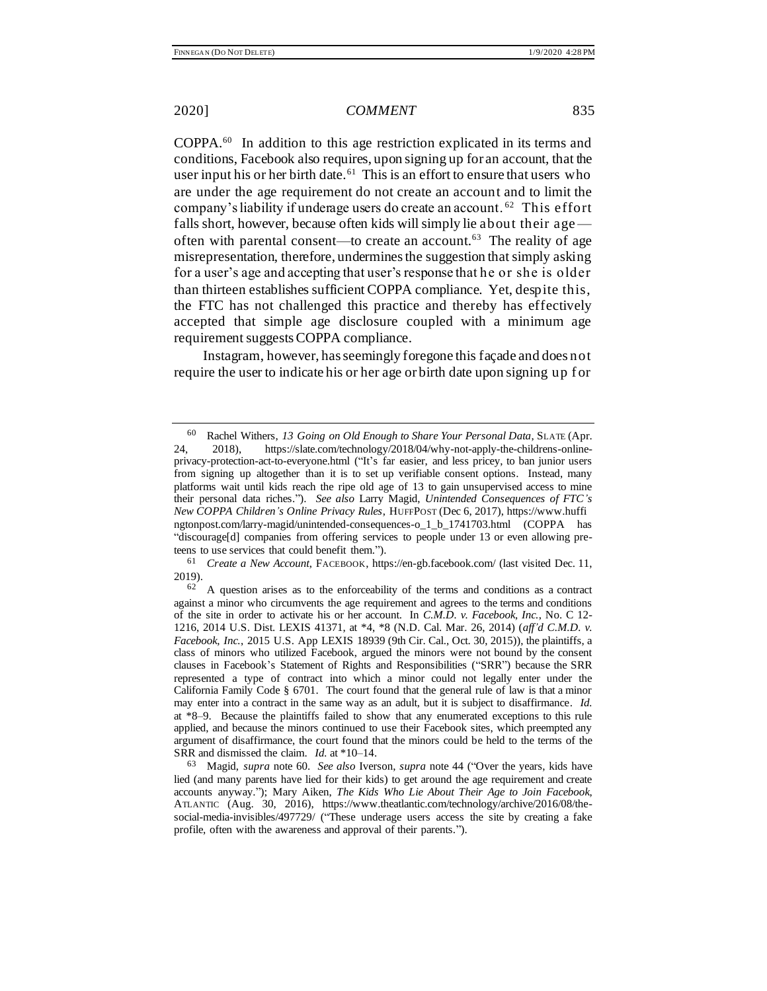<span id="page-8-0"></span>COPPA.<sup>60</sup> In addition to this age restriction explicated in its terms and conditions, Facebook also requires, upon signing up for an account, that the user input his or her birth date.<sup>61</sup> This is an effort to ensure that users who are under the age requirement do not create an account and to limit the company's liability if underage users do create an account. <sup>62</sup> This effort falls short, however, because often kids will simply lie about their age often with parental consent—to create an account.<sup>63</sup> The reality of age misrepresentation, therefore, undermines the suggestion that simply asking for a user's age and accepting that user's response that he or she is older than thirteen establishes sufficient COPPA compliance. Yet, despite this, the FTC has not challenged this practice and thereby has effectively accepted that simple age disclosure coupled with a minimum age requirement suggests COPPA compliance.

Instagram, however, has seemingly foregone this façade and does not require the user to indicate his or her age or birth date upon signing up f or

<span id="page-8-1"></span>

<sup>60</sup> Rachel Withers, *13 Going on Old Enough to Share Your Personal Data*, SLATE (Apr. 24, 2018), https://slate.com/technology/2018/04/why-not-apply-the-childrens-onlineprivacy-protection-act-to-everyone.html ("It's far easier, and less pricey, to ban junior users from signing up altogether than it is to set up verifiable consent options. Instead, many platforms wait until kids reach the ripe old age of 13 to gain unsupervised access to mine their personal data riches."). *See also* Larry Magid, *Unintended Consequences of FTC's New COPPA Children's Online Privacy Rules*, HUFFPOST (Dec 6, 2017), https://www.huffi ngtonpost.com/larry-magid/unintended-consequences-o\_1\_b\_1741703.html (COPPA has "discourage[d] companies from offering services to people under 13 or even allowing preteens to use services that could benefit them.").

<sup>61</sup> *Create a New Account*, FACEBOOK, https://en-gb.facebook.com/ (last visited Dec. 11, 2019).

<sup>62</sup> A question arises as to the enforceability of the terms and conditions as a contract against a minor who circumvents the age requirement and agrees to the terms and conditions of the site in order to activate his or her account. In *C.M.D. v. Facebook, Inc.*, No. C 12- 1216, 2014 U.S. Dist. LEXIS 41371, at \*4, \*8 (N.D. Cal. Mar. 26, 2014) (*aff'd C.M.D. v. Facebook, Inc.*, 2015 U.S. App LEXIS 18939 (9th Cir. Cal., Oct. 30, 2015)), the plaintiffs, a class of minors who utilized Facebook, argued the minors were not bound by the consent clauses in Facebook's Statement of Rights and Responsibilities ("SRR") because the SRR represented a type of contract into which a minor could not legally enter under the California Family Code § 6701. The court found that the general rule of law is that a minor may enter into a contract in the same way as an adult, but it is subject to disaffirmance. *Id.* at \*8–9. Because the plaintiffs failed to show that any enumerated exceptions to this rule applied, and because the minors continued to use their Facebook sites, which preempted any argument of disaffirmance, the court found that the minors could be held to the terms of the SRR and dismissed the claim. *Id.* at \*10–14.

<sup>63</sup> Magid, *supra* note [60.](#page-8-0) *See also* Iverson, *supra* not[e 44](#page-6-0) ("Over the years, kids have lied (and many parents have lied for their kids) to get around the age requirement and create accounts anyway."); Mary Aiken, *The Kids Who Lie About Their Age to Join Facebook*, ATLANTIC (Aug. 30, 2016), https://www.theatlantic.com/technology/archive/2016/08/thesocial-media-invisibles/497729/ ("These underage users access the site by creating a fake profile, often with the awareness and approval of their parents.").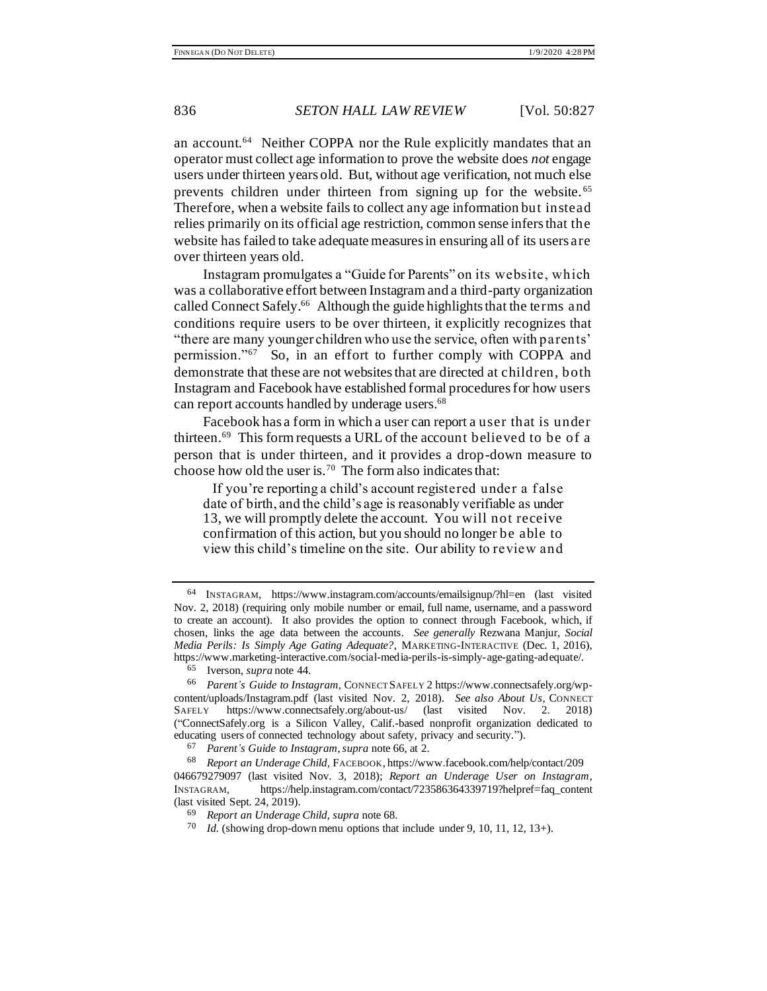<span id="page-9-2"></span>an account.<sup>64</sup> Neither COPPA nor the Rule explicitly mandates that an operator must collect age information to prove the website does *not* engage users under thirteen years old. But, without age verification, not much else prevents children under thirteen from signing up for the website.<sup>65</sup> Therefore, when a website fails to collect any age information but instead relies primarily on its official age restriction, common sense infers that the website has failed to take adequate measures in ensuring all of its users are over thirteen years old.

<span id="page-9-0"></span>Instagram promulgates a "Guide for Parents" on its website, which was a collaborative effort between Instagram and a third-party organization called Connect Safely.<sup>66</sup> Although the guide highlights that the terms and conditions require users to be over thirteen, it explicitly recognizes that "there are many younger children who use the service, often with parents' permission."<sup>67</sup> So, in an effort to further comply with COPPA and demonstrate that these are not websites that are directed at children, both Instagram and Facebook have established formal procedures for how users can report accounts handled by underage users.<sup>68</sup>

Facebook has a form in which a user can report a user that is under thirteen.<sup>69</sup> This form requests a URL of the account believed to be of a person that is under thirteen, and it provides a drop-down measure to choose how old the user is.<sup>70</sup> The form also indicates that:

<span id="page-9-1"></span>If you're reporting a child's account registered under a false date of birth, and the child's age is reasonably verifiable as under 13, we will promptly delete the account. You will not receive confirmation of this action, but you should no longer be able to view this child's timeline on the site. Our ability to review and

<sup>70</sup> *Id.* (showing drop-down menu options that include under 9, 10, 11, 12, 13+).

<sup>64</sup> INSTAGRAM, https://www.instagram.com/accounts/emailsignup/?hl=en (last visited Nov. 2, 2018) (requiring only mobile number or email, full name, username, and a password to create an account). It also provides the option to connect through Facebook, which, if chosen, links the age data between the accounts. *See generally* Rezwana Manjur, *Social Media Perils: Is Simply Age Gating Adequate?*, MARKETING-INTERACTIVE (Dec. 1, 2016), https://www.marketing-interactive.com/social-media-perils-is-simply-age-gating-adequate/.

<sup>65</sup> Iverson, *supra* note [44.](#page-6-0)

<sup>66</sup> *Parent's Guide to Instagram*, CONNECT SAFELY 2 https://www.connectsafely.org/wpcontent/uploads/Instagram.pdf (last visited Nov. 2, 2018). *See also About Us*, CONNECT SAFELY https://www.connectsafely.org/about-us/ (last visited Nov. 2. 2018) ("ConnectSafely.org is a Silicon Valley, Calif.-based nonprofit organization dedicated to educating users of connected technology about safety, privacy and security.").

<sup>67</sup> *Parent's Guide to Instagram*, *supra* note [66,](#page-9-0) at 2.

<sup>68</sup> *Report an Underage Child*, FACEBOOK, https://www.facebook.com/help/contact/209 046679279097 (last visited Nov. 3, 2018); *Report an Underage User on Instagram*, INSTAGRAM, https://help.instagram.com/contact/723586364339719?helpref=faq\_content (last visited Sept. 24, 2019).

<sup>69</sup> *Report an Underage Child*, *supra* not[e 68.](#page-9-1)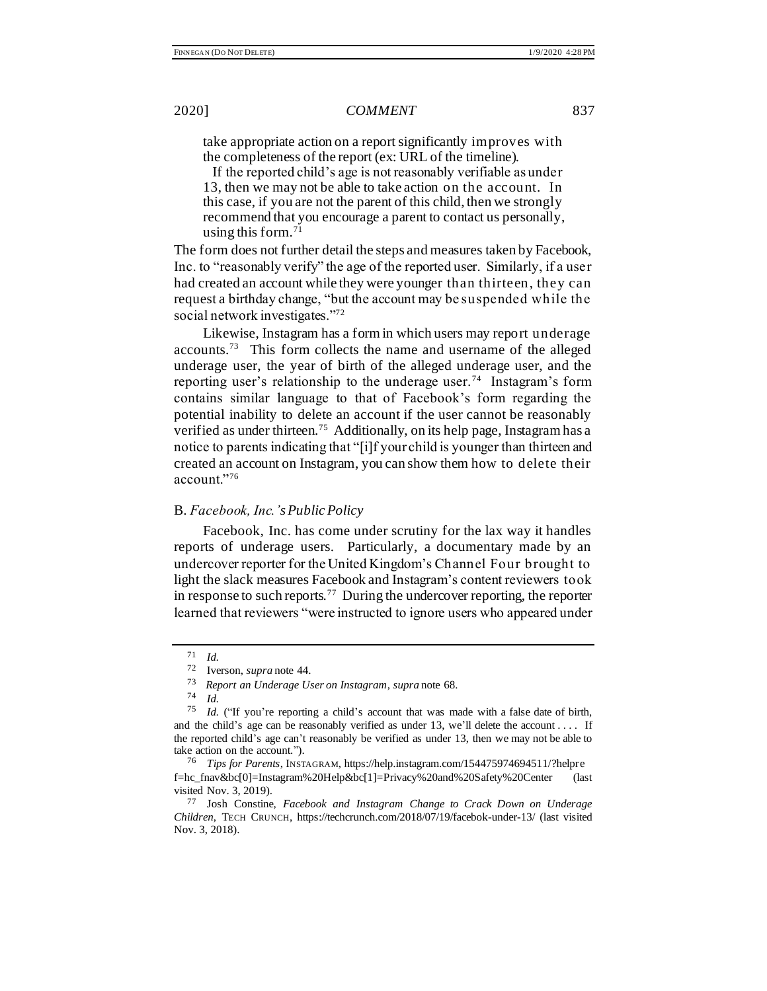take appropriate action on a report significantly improves with the completeness of the report (ex: URL of the timeline).

If the reported child's age is not reasonably verifiable as under 13, then we may not be able to take action on the account. In this case, if you are not the parent of this child, then we strongly recommend that you encourage a parent to contact us personally, using this form. $71$ 

The form does not further detail the steps and measures taken by Facebook, Inc. to "reasonably verify" the age of the reported user. Similarly, if a user had created an account while they were younger than thirteen, they can request a birthday change, "but the account may be suspended while the social network investigates."<sup>72</sup>

Likewise, Instagram has a form in which users may report underage accounts.<sup>73</sup> This form collects the name and username of the alleged underage user, the year of birth of the alleged underage user, and the reporting user's relationship to the underage user. <sup>74</sup> Instagram's form contains similar language to that of Facebook's form regarding the potential inability to delete an account if the user cannot be reasonably verified as under thirteen.<sup>75</sup> Additionally, on its help page, Instagram has a notice to parents indicating that "[i]f your child is younger than thirteen and created an account on Instagram, you can show them how to delete their account."<sup>76</sup>

## B. *Facebook, Inc.'s Public Policy*

Facebook, Inc. has come under scrutiny for the lax way it handles reports of underage users. Particularly, a documentary made by an undercover reporter for the United Kingdom's Channel Four brought to light the slack measures Facebook and Instagram's content reviewers took in response to such reports.<sup>77</sup> During the undercover reporting, the reporter learned that reviewers "were instructed to ignore users who appeared under

<span id="page-10-0"></span><sup>71</sup> *Id.* 

<sup>72</sup> Iverson, *supra* note [44.](#page-6-0)

<sup>73</sup> *Report an Underage User on Instagram*, *supra* note [68.](#page-9-1)

<sup>74</sup> *Id.* 

<sup>75</sup> *Id.* ("If you're reporting a child's account that was made with a false date of birth, and the child's age can be reasonably verified as under 13, we'll delete the account  $\dots$ . If the reported child's age can't reasonably be verified as under 13, then we may not be able to take action on the account.").

<sup>76</sup> *Tips for Parents*, INSTAGRAM, https://help.instagram.com/154475974694511/?helpre f=hc\_fnav&bc[0]=Instagram%20Help&bc[1]=Privacy%20and%20Safety%20Center (last visited Nov. 3, 2019).

<sup>77</sup> Josh Constine, *Facebook and Instagram Change to Crack Down on Underage Children*, TECH CRUNCH, https://techcrunch.com/2018/07/19/facebok-under-13/ (last visited Nov. 3, 2018).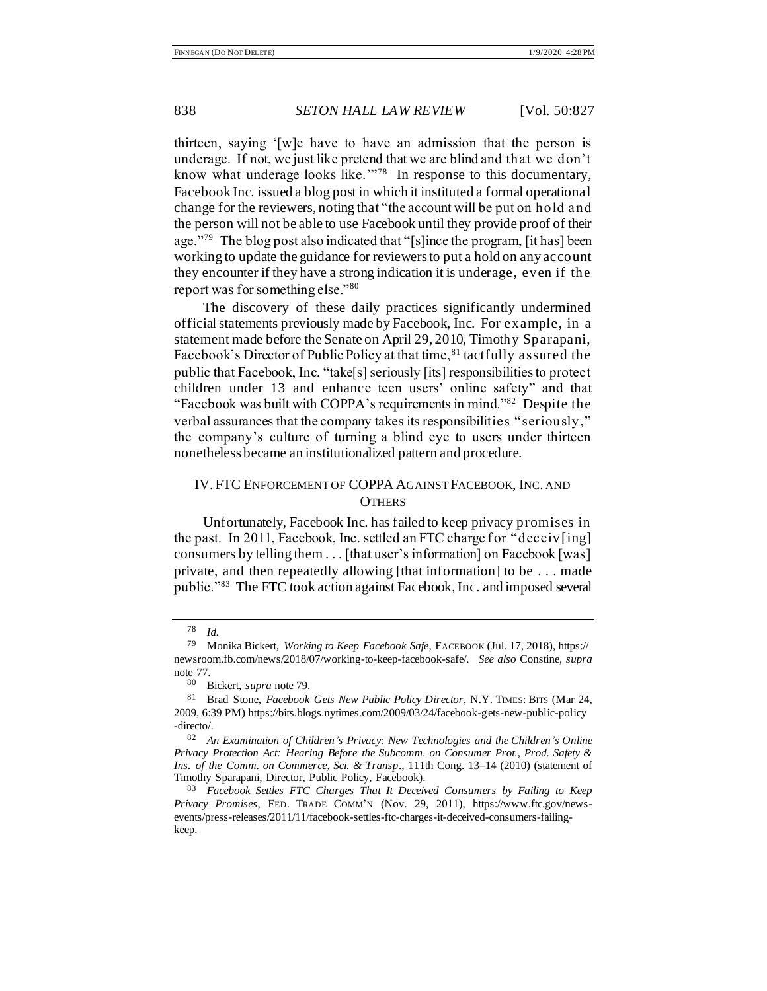thirteen, saying '[w]e have to have an admission that the person is underage. If not, we just like pretend that we are blind and that we don't know what underage looks like."<sup>78</sup> In response to this documentary, Facebook Inc. issued a blog post in which it instituted a formal operational change for the reviewers, noting that "the account will be put on hold and the person will not be able to use Facebook until they provide proof of their age."<sup>79</sup> The blog post also indicated that "[s]ince the program, [it has] been working to update the guidance for reviewers to put a hold on any account they encounter if they have a strong indication it is underage, even if the report was for something else."<sup>80</sup>

<span id="page-11-0"></span>The discovery of these daily practices significantly undermined official statements previously made by Facebook, Inc. For example, in a statement made before the Senate on April 29, 2010, Timothy Sparapani, Facebook's Director of Public Policy at that time, <sup>81</sup> tactfully assured the public that Facebook, Inc. "take[s] seriously [its] responsibilities to protect children under 13 and enhance teen users' online safety" and that "Facebook was built with COPPA's requirements in mind."<sup>82</sup> Despite the verbal assurances that the company takes its responsibilities "seriously," the company's culture of turning a blind eye to users under thirteen nonetheless became an institutionalized pattern and procedure.

## IV. FTC ENFORCEMENT OF COPPA AGAINST FACEBOOK, INC. AND **OTHERS**

Unfortunately, Facebook Inc. has failed to keep privacy promises in the past. In 2011, Facebook, Inc. settled an FTC charge for "deceiv[ing] consumers by telling them . . . [that user's information] on Facebook [was] private, and then repeatedly allowing [that information] to be . . . made public."<sup>83</sup> The FTC took action against Facebook, Inc. and imposed several

<sup>78</sup> *Id.*

<sup>79</sup> Monika Bickert, *Working to Keep Facebook Safe*, FACEBOOK (Jul. 17, 2018), https:// newsroom.fb.com/news/2018/07/working-to-keep-facebook-safe/. *See also* Constine, *supra* not[e 77.](#page-10-0)

<sup>80</sup> Bickert, *supra* not[e 79.](#page-11-0) 

<sup>81</sup> Brad Stone, *Facebook Gets New Public Policy Director*, N.Y. TIMES: BITS (Mar 24, 2009, 6:39 PM) https://bits.blogs.nytimes.com/2009/03/24/facebook-gets-new-public-policy -directo/.

<sup>82</sup> *An Examination of Children's Privacy: New Technologies and the Children's Online Privacy Protection Act: Hearing Before the Subcomm. on Consumer Prot., Prod. Safety & Ins. of the Comm. on Commerce, Sci. & Transp*., 111th Cong. 13–14 (2010) (statement of Timothy Sparapani, Director, Public Policy, Facebook).

<sup>83</sup> *Facebook Settles FTC Charges That It Deceived Consumers by Failing to Keep Privacy Promises*, FED. TRADE COMM'N (Nov. 29, 2011), https://www.ftc.gov/newsevents/press-releases/2011/11/facebook-settles-ftc-charges-it-deceived-consumers-failingkeep.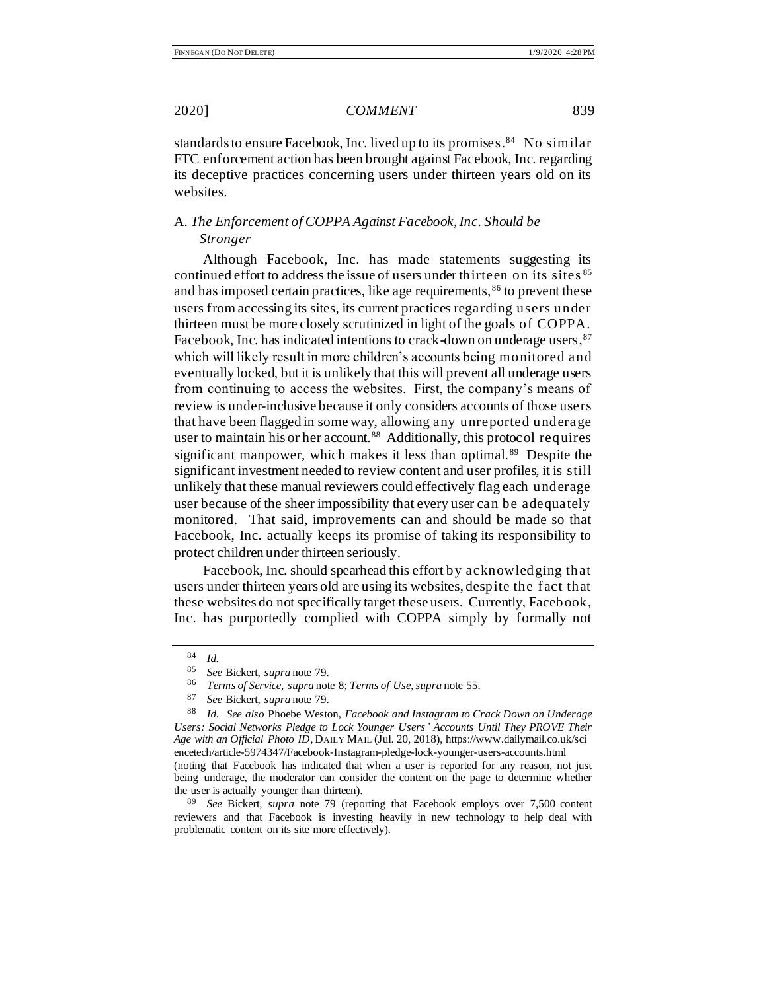standards to ensure Facebook, Inc. lived up to its promises.<sup>84</sup> No similar FTC enforcement action has been brought against Facebook, Inc. regarding its deceptive practices concerning users under thirteen years old on its websites.

## A. *The Enforcement of COPPA Against Facebook, Inc. Should be Stronger*

Although Facebook, Inc. has made statements suggesting its continued effort to address the issue of users under thirteen on its sites  $85$ and has imposed certain practices, like age requirements,  $86$  to prevent these users from accessing its sites, its current practices regarding users under thirteen must be more closely scrutinized in light of the goals of COPPA. Facebook, Inc. has indicated intentions to crack-down on underage users, <sup>87</sup> which will likely result in more children's accounts being monitored and eventually locked, but it is unlikely that this will prevent all underage users from continuing to access the websites. First, the company's means of review is under-inclusive because it only considers accounts of those users that have been flagged in some way, allowing any unreported underage user to maintain his or her account.<sup>88</sup> Additionally, this protocol requires significant manpower, which makes it less than optimal.<sup>89</sup> Despite the significant investment needed to review content and user profiles, it is still unlikely that these manual reviewers could effectively flag each underage user because of the sheer impossibility that every user can be adequately monitored. That said, improvements can and should be made so that Facebook, Inc. actually keeps its promise of taking its responsibility to protect children under thirteen seriously.

Facebook, Inc. should spearhead this effort by acknowledging that users under thirteen years old are using its websites, despite the f act that these websites do not specifically target these users. Currently, Facebook, Inc. has purportedly complied with COPPA simply by formally not

the user is actually younger than thirteen).

<sup>89</sup> *See* Bickert, *supra* note [79](#page-11-0) (reporting that Facebook employs over 7,500 content reviewers and that Facebook is investing heavily in new technology to help deal with problematic content on its site more effectively).

<sup>84</sup> *Id.*

<sup>85</sup> *See* Bickert, *supra* note [79.](#page-11-0)

<sup>86</sup> *Terms of Service*, *supra* note [8;](#page-1-2) *Terms of Use*,*supra* note [55.](#page-7-1)

<sup>87</sup> *See* Bickert, *supra* note [79.](#page-11-0)

<sup>88</sup> *Id. See also* Phoebe Weston, *Facebook and Instagram to Crack Down on Underage Users: Social Networks Pledge to Lock Younger Users' Accounts Until They PROVE Their Age with an Official Photo ID*, DAILY MAIL (Jul. 20, 2018), https://www.dailymail.co.uk/sci encetech/article-5974347/Facebook-Instagram-pledge-lock-younger-users-accounts.html (noting that Facebook has indicated that when a user is reported for any reason, not just being underage, the moderator can consider the content on the page to determine whether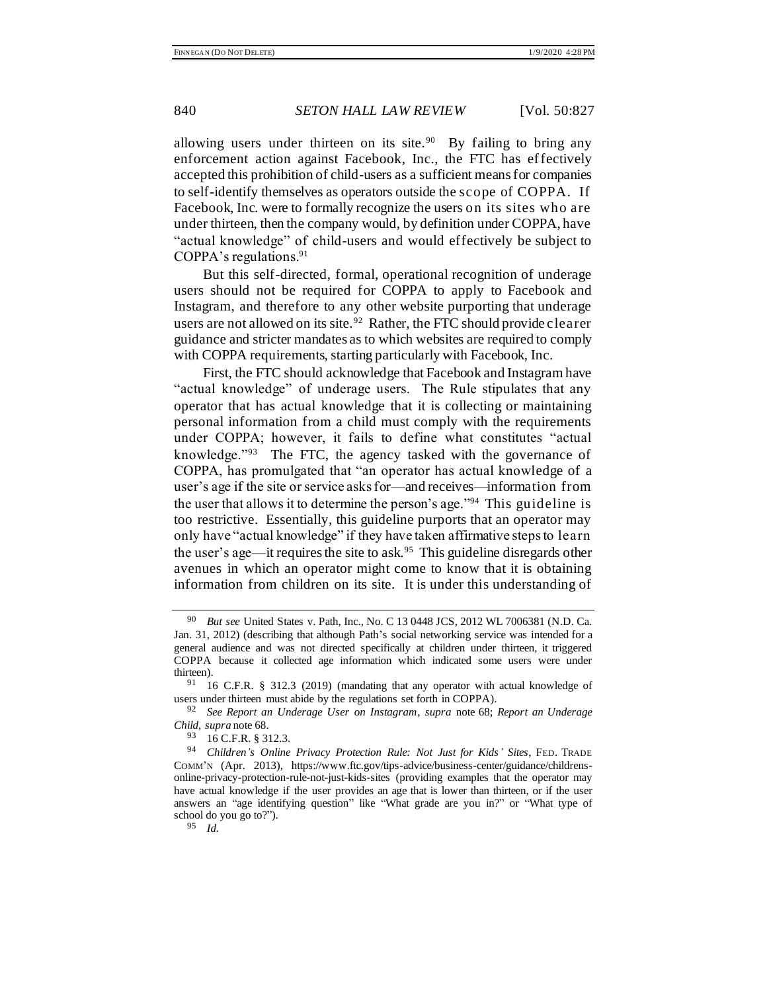allowing users under thirteen on its site.<sup>90</sup> By failing to bring any enforcement action against Facebook, Inc., the FTC has effectively accepted this prohibition of child-users as a sufficient means for companies to self-identify themselves as operators outside the scope of COPPA. If Facebook, Inc. were to formally recognize the users on its sites who are under thirteen, then the company would, by definition under COPPA, have "actual knowledge" of child-users and would effectively be subject to COPPA's regulations.<sup>91</sup>

But this self-directed, formal, operational recognition of underage users should not be required for COPPA to apply to Facebook and Instagram, and therefore to any other website purporting that underage users are not allowed on its site.<sup>92</sup> Rather, the FTC should provide clearer guidance and stricter mandates as to which websites are required to comply with COPPA requirements, starting particularly with Facebook, Inc.

First, the FTC should acknowledge that Facebook and Instagram have "actual knowledge" of underage users. The Rule stipulates that any operator that has actual knowledge that it is collecting or maintaining personal information from a child must comply with the requirements under COPPA; however, it fails to define what constitutes "actual knowledge."<sup>93</sup> The FTC, the agency tasked with the governance of COPPA, has promulgated that "an operator has actual knowledge of a user's age if the site or service asks for—and receives—information from the user that allows it to determine the person's age."<sup>94</sup> This guideline is too restrictive. Essentially, this guideline purports that an operator may only have "actual knowledge" if they have taken affirmative steps to learn the user's age—it requires the site to ask.<sup>95</sup> This guideline disregards other avenues in which an operator might come to know that it is obtaining information from children on its site. It is under this understanding of

<sup>92</sup> *See Report an Underage User on Instagram*, *supra* note [68;](#page-9-1) *Report an Underage Child*, *supra* note [68.](#page-9-1)

<sup>93</sup> 16 C.F.R. § 312.3.

<sup>95</sup> *Id.* 

<sup>90</sup> *But see* United States v. Path, Inc., No. C 13 0448 JCS, 2012 WL 7006381 (N.D. Ca. Jan. 31, 2012) (describing that although Path's social networking service was intended for a general audience and was not directed specifically at children under thirteen, it triggered COPPA because it collected age information which indicated some users were under thirteen).

<sup>91</sup> 16 C.F.R. § 312.3 (2019) (mandating that any operator with actual knowledge of users under thirteen must abide by the regulations set forth in COPPA).

<sup>94</sup> *Children's Online Privacy Protection Rule: Not Just for Kids' Sites*, FED. TRADE COMM'N (Apr. 2013), https://www.ftc.gov/tips-advice/business-center/guidance/childrensonline-privacy-protection-rule-not-just-kids-sites (providing examples that the operator may have actual knowledge if the user provides an age that is lower than thirteen, or if the user answers an "age identifying question" like "What grade are you in?" or "What type of school do you go to?").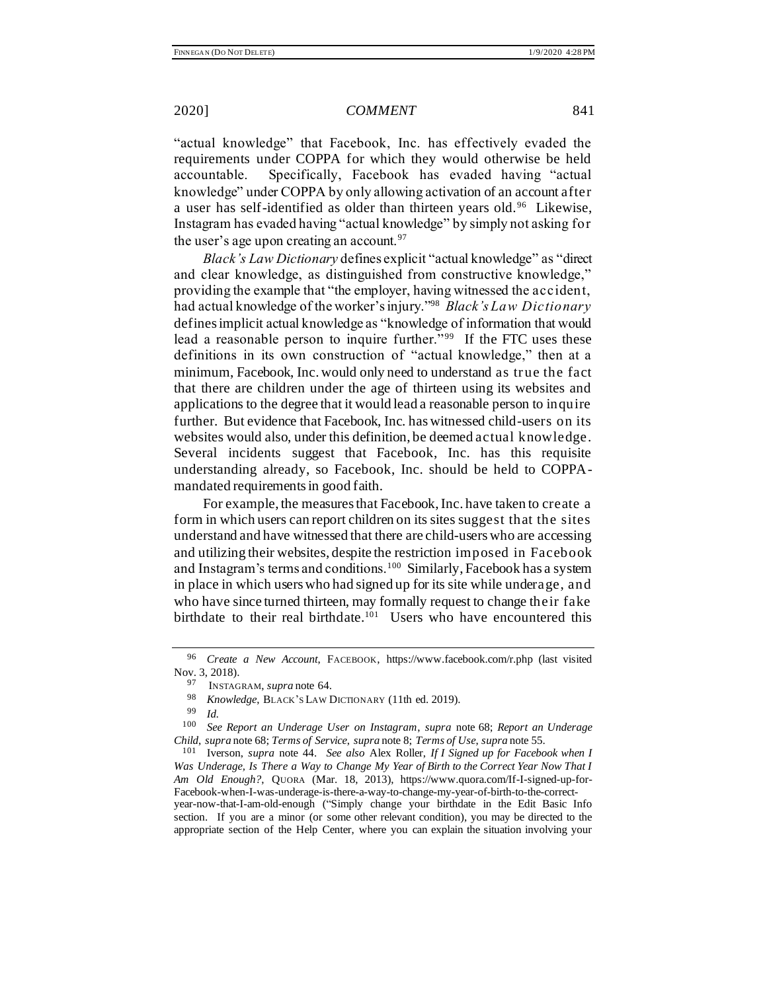"actual knowledge" that Facebook, Inc. has effectively evaded the requirements under COPPA for which they would otherwise be held accountable. Specifically, Facebook has evaded having "actual knowledge" under COPPA by only allowing activation of an account after a user has self-identified as older than thirteen years old.<sup>96</sup> Likewise, Instagram has evaded having "actual knowledge" by simply not asking for the user's age upon creating an account.  $97$ 

*Black's Law Dictionary* defines explicit "actual knowledge" as "direct and clear knowledge, as distinguished from constructive knowledge," providing the example that "the employer, having witnessed the accident, had actual knowledge of the worker's injury."<sup>98</sup> *Black's Law Dictionary*  defines implicit actual knowledge as "knowledge of information that would lead a reasonable person to inquire further."<sup>99</sup> If the FTC uses these definitions in its own construction of "actual knowledge," then at a minimum, Facebook, Inc. would only need to understand as true the fact that there are children under the age of thirteen using its websites and applications to the degree that it would lead a reasonable person to inquire further. But evidence that Facebook, Inc. has witnessed child-users on its websites would also, under this definition, be deemed actual knowledge. Several incidents suggest that Facebook, Inc. has this requisite understanding already, so Facebook, Inc. should be held to COPPAmandated requirements in good faith.

For example, the measures that Facebook, Inc. have taken to create a form in which users can report children on its sites suggest that the sites understand and have witnessed that there are child-users who are accessing and utilizing their websites, despite the restriction imposed in Facebook and Instagram's terms and conditions.<sup>100</sup> Similarly, Facebook has a system in place in which users who had signed up for its site while underage, and who have since turned thirteen, may formally request to change their fake birthdate to their real birthdate.<sup>101</sup> Users who have encountered this

<span id="page-14-1"></span>

<sup>96</sup> *Create a New Account*, FACEBOOK, https://www.facebook.com/r.php (last visited Nov. 3, 2018).

<span id="page-14-0"></span><sup>97</sup> INSTAGRAM, *supra* note [64.](#page-9-2)

<sup>98</sup> *Knowledge*, BLACK'S LAW DICTIONARY (11th ed. 2019).

 $\frac{99}{100}$  *Id.* 

<sup>100</sup> *See Report an Underage User on Instagram*, *supra* note [68;](#page-9-1) *Report an Underage Child*, *supra* note [68;](#page-9-1) *Terms of Service*, *supra* note [8;](#page-1-2) *Terms of Use*, *supra* note [55.](#page-7-1)

<sup>101</sup> Iverson, *supra* not[e 44.](#page-6-0) *See also* Alex Roller, *If I Signed up for Facebook when I Was Underage, Is There a Way to Change My Year of Birth to the Correct Year Now That I Am Old Enough?*, QUORA (Mar. 18, 2013), https://www.quora.com/If-I-signed-up-for-Facebook-when-I-was-underage-is-there-a-way-to-change-my-year-of-birth-to-the-correctyear-now-that-I-am-old-enough ("Simply change your birthdate in the Edit Basic Info

section. If you are a minor (or some other relevant condition), you may be directed to the appropriate section of the Help Center, where you can explain the situation involving your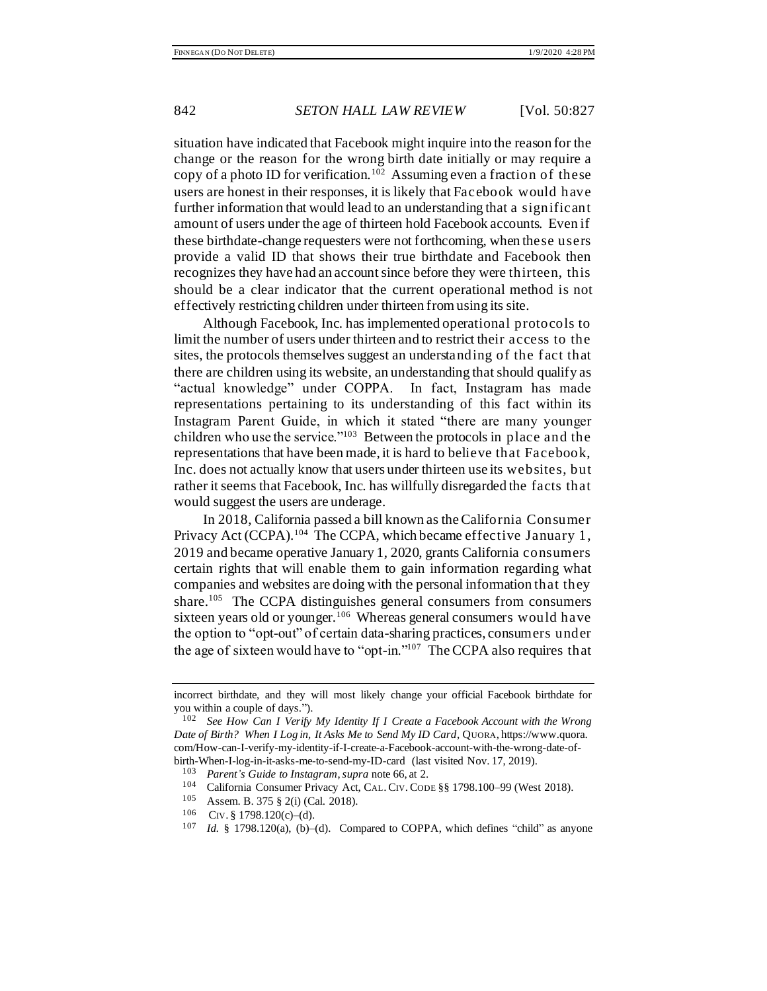situation have indicated that Facebook might inquire into the reason for the change or the reason for the wrong birth date initially or may require a copy of a photo ID for verification.<sup>102</sup> Assuming even a fraction of these users are honest in their responses, it is likely that Facebook would have further information that would lead to an understanding that a significant amount of users under the age of thirteen hold Facebook accounts. Even if these birthdate-change requesters were not forthcoming, when these users provide a valid ID that shows their true birthdate and Facebook then recognizes they have had an account since before they were thirteen, this should be a clear indicator that the current operational method is not effectively restricting children under thirteen from using its site.

Although Facebook, Inc. has implemented operational protocols to limit the number of users under thirteen and to restrict their access to the sites, the protocols themselves suggest an understanding of the f act that there are children using its website, an understanding that should qualify as "actual knowledge" under COPPA. In fact, Instagram has made representations pertaining to its understanding of this fact within its Instagram Parent Guide, in which it stated "there are many younger children who use the service."<sup>103</sup> Between the protocols in place and the representations that have been made, it is hard to believe that Facebook, Inc. does not actually know that users under thirteen use its websites, but rather it seems that Facebook, Inc. has willfully disregarded the facts that would suggest the users are underage.

In 2018, California passed a bill known as the California Consumer Privacy Act (CCPA).<sup>104</sup> The CCPA, which became effective January 1, 2019 and became operative January 1, 2020, grants California consumers certain rights that will enable them to gain information regarding what companies and websites are doing with the personal information that they share.<sup>105</sup> The CCPA distinguishes general consumers from consumers sixteen years old or younger.<sup>106</sup> Whereas general consumers would have the option to "opt-out" of certain data-sharing practices, consumers under the age of sixteen would have to "opt-in."<sup>107</sup> The CCPA also requires that

incorrect birthdate, and they will most likely change your official Facebook birthdate for you within a couple of days.").

<sup>102</sup> *See How Can I Verify My Identity If I Create a Facebook Account with the Wrong Date of Birth? When I Log in, It Asks Me to Send My ID Card*, QUORA, https://www.quora. com/How-can-I-verify-my-identity-if-I-create-a-Facebook-account-with-the-wrong-date-ofbirth-When-I-log-in-it-asks-me-to-send-my-ID-card (last visited Nov. 17, 2019).

<sup>103</sup> *Parent's Guide to Instagram*, *supra* note [66,](#page-9-0) at 2.

California Consumer Privacy Act, CAL. CIV. CODE §§ 1798.100-99 (West 2018).

<sup>105</sup> Assem. B. 375 § 2(i) (Cal. 2018).

<sup>106</sup>  $CIV.$  § 1798.120(c)–(d).

<sup>107</sup> *Id.* § 1798.120(a), (b)–(d). Compared to COPPA, which defines "child" as anyone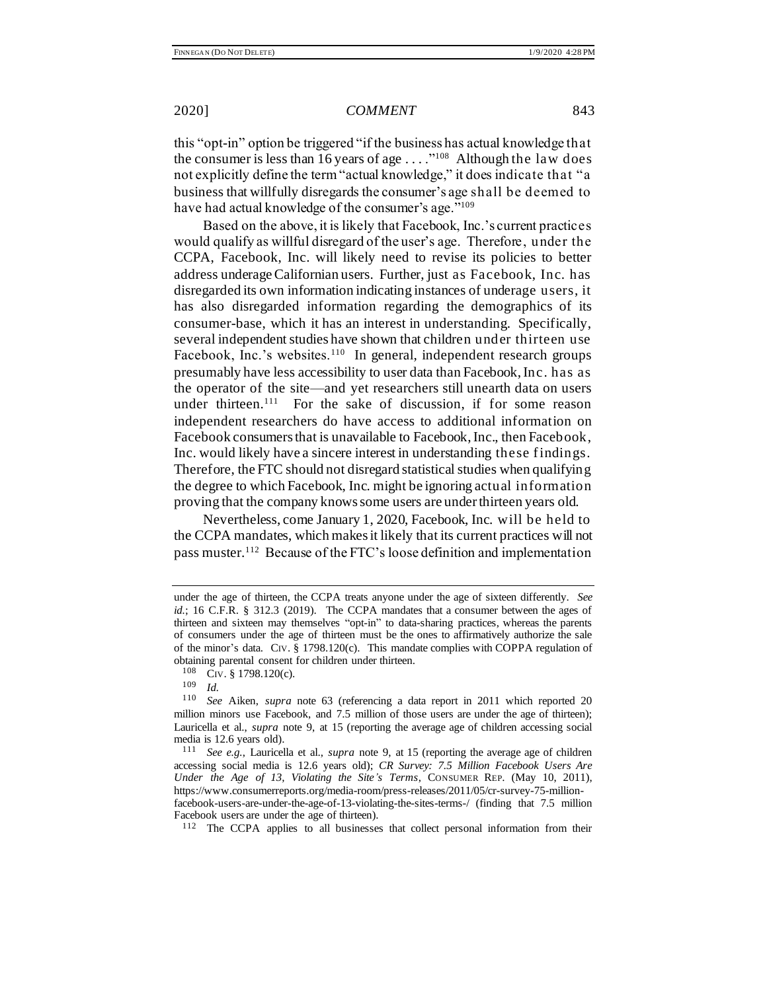this "opt-in" option be triggered "if the business has actual knowledge that the consumer is less than 16 years of age  $\dots$ ."<sup>108</sup> Although the law does not explicitly define the term "actual knowledge," it does indicate that "a business that willfully disregards the consumer's age shall be deemed to have had actual knowledge of the consumer's age."<sup>109</sup>

Based on the above, it is likely that Facebook, Inc.'s current practices would qualify as willful disregard of the user's age. Therefore, under the CCPA, Facebook, Inc. will likely need to revise its policies to better address underage Californian users. Further, just as Facebook, Inc. has disregarded its own information indicating instances of underage users, it has also disregarded information regarding the demographics of its consumer-base, which it has an interest in understanding. Specifically, several independent studies have shown that children under thirteen use Facebook, Inc.'s websites.<sup>110</sup> In general, independent research groups presumably have less accessibility to user data than Facebook, Inc. has as the operator of the site—and yet researchers still unearth data on users under thirteen.<sup>111</sup> For the sake of discussion, if for some reason independent researchers do have access to additional information on Facebook consumers that is unavailable to Facebook, Inc., then Facebook, Inc. would likely have a sincere interest in understanding these f indings. Therefore, the FTC should not disregard statistical studies when qualifying the degree to which Facebook, Inc. might be ignoring actual information proving that the company knows some users are under thirteen years old.

Nevertheless, come January 1, 2020, Facebook, Inc. will be held to the CCPA mandates, which makes it likely that its current practices will not pass muster.<sup>112</sup> Because of the FTC's loose definition and implementation

under the age of thirteen, the CCPA treats anyone under the age of sixteen differently. *See id.*; 16 C.F.R. § 312.3 (2019). The CCPA mandates that a consumer between the ages of thirteen and sixteen may themselves "opt-in" to data-sharing practices, whereas the parents of consumers under the age of thirteen must be the ones to affirmatively authorize the sale of the minor's data. CIV. § 1798.120(c). This mandate complies with COPPA regulation of obtaining parental consent for children under thirteen.

<sup>108</sup> CIV. § 1798.120(c).

 $\frac{109}{110}$  *Id.* 

See Aiken, *supra* note [63](#page-8-1) (referencing a data report in 2011 which reported 20 million minors use Facebook, and 7.5 million of those users are under the age of thirteen); Lauricella et al., *supra* not[e 9,](#page-1-1) at 15 (reporting the average age of children accessing social media is 12.6 years old).

<sup>111</sup> *See e.g.*, Lauricella et al., *supra* not[e 9](#page-1-1), at 15 (reporting the average age of children accessing social media is 12.6 years old); *CR Survey: 7.5 Million Facebook Users Are Under the Age of 13, Violating the Site's Terms*, CONSUMER REP. (May 10, 2011), https://www.consumerreports.org/media-room/press-releases/2011/05/cr-survey-75-millionfacebook-users-are-under-the-age-of-13-violating-the-sites-terms-/ (finding that 7.5 million Facebook users are under the age of thirteen).

<sup>112</sup> The CCPA applies to all businesses that collect personal information from their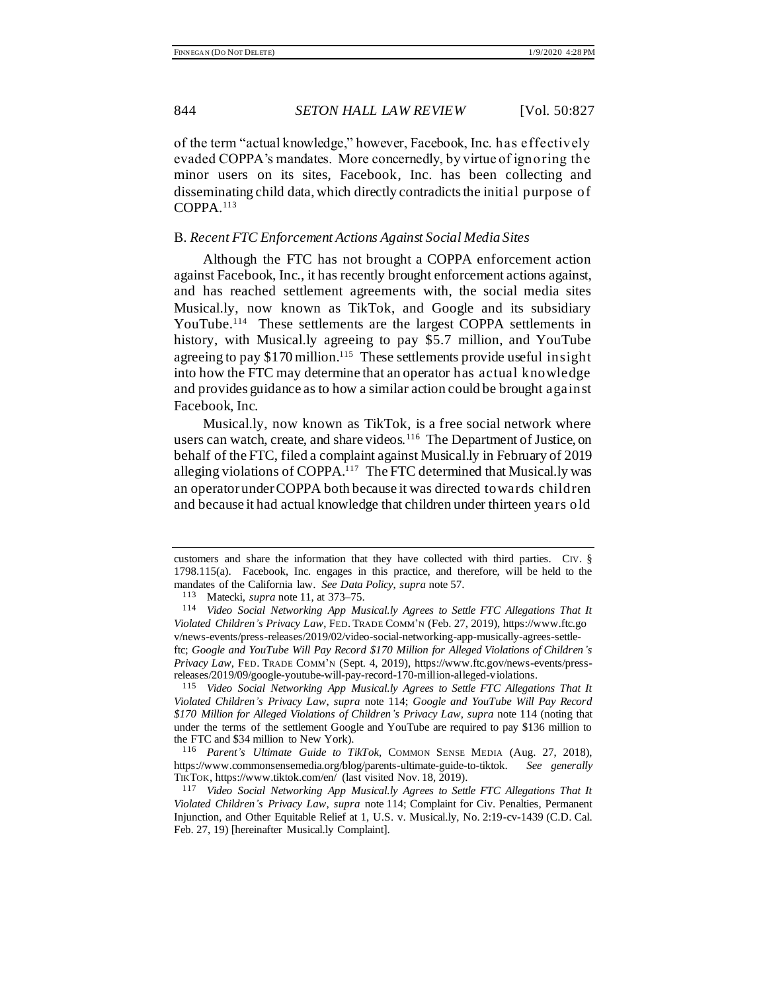of the term "actual knowledge," however, Facebook, Inc. has effectively evaded COPPA's mandates. More concernedly, by virtue of ignoring the minor users on its sites, Facebook, Inc. has been collecting and disseminating child data, which directly contradicts the initial purpose of COPPA.<sup>113</sup>

### B. *Recent FTC Enforcement Actions Against Social Media Sites*

<span id="page-17-0"></span>Although the FTC has not brought a COPPA enforcement action against Facebook, Inc., it has recently brought enforcement actions against, and has reached settlement agreements with, the social media sites Musical.ly, now known as TikTok, and Google and its subsidiary YouTube.<sup>114</sup> These settlements are the largest COPPA settlements in history, with Musical.ly agreeing to pay \$5.7 million, and YouTube agreeing to pay \$170 million.<sup>115</sup> These settlements provide useful insight into how the FTC may determine that an operator has actual knowledge and provides guidance as to how a similar action could be brought against Facebook, Inc.

<span id="page-17-1"></span>Musical.ly, now known as TikTok, is a free social network where users can watch, create, and share videos.<sup>116</sup> The Department of Justice, on behalf of the FTC, filed a complaint against Musical.ly in February of 2019 alleging violations of COPPA.<sup>117</sup> The FTC determined that Musical.ly was an operator under COPPA both because it was directed towards children and because it had actual knowledge that children under thirteen years old

<sup>115</sup> *Video Social Networking App Musical.ly Agrees to Settle FTC Allegations That It Violated Children's Privacy Law*, *supra* note [114;](#page-17-0) *Google and YouTube Will Pay Record \$170 Million for Alleged Violations of Children's Privacy Law*, *supra* not[e 114](#page-17-0) (noting that under the terms of the settlement Google and YouTube are required to pay \$136 million to the FTC and \$34 million to New York).

<sup>116</sup> *Parent's Ultimate Guide to TikTok*, COMMON SENSE MEDIA (Aug. 27, 2018), https://www.commonsensemedia.org/blog/parents-ultimate-guide-to-tiktok. *See generally*  TIKTOK, https://www.tiktok.com/en/ (last visited Nov. 18, 2019).

<sup>117</sup> *Video Social Networking App Musical.ly Agrees to Settle FTC Allegations That It Violated Children's Privacy Law*, *supra* note [114](#page-17-0); Complaint for Civ. Penalties, Permanent Injunction, and Other Equitable Relief at 1, U.S. v. Musical.ly, No. 2:19-cv-1439 (C.D. Cal. Feb. 27, 19) [hereinafter Musical.ly Complaint].

customers and share the information that they have collected with third parties. CIV. § 1798.115(a). Facebook, Inc. engages in this practice, and therefore, will be held to the mandates of the California law. *See Data Policy*, *supra* not[e 57.](#page-7-2) 

<sup>113</sup> Matecki, *supra* not[e 11,](#page-1-3) at 373–75.

<sup>114</sup> *Video Social Networking App Musical.ly Agrees to Settle FTC Allegations That It Violated Children's Privacy Law*, FED. TRADE COMM'N (Feb. 27, 2019), https://www.ftc.go v/news-events/press-releases/2019/02/video-social-networking-app-musically-agrees-settleftc; *Google and YouTube Will Pay Record \$170 Million for Alleged Violations of Children's Privacy Law*, FED. TRADE COMM'N (Sept. 4, 2019), https://www.ftc.gov/news-events/pressreleases/2019/09/google-youtube-will-pay-record-170-million-alleged-violations.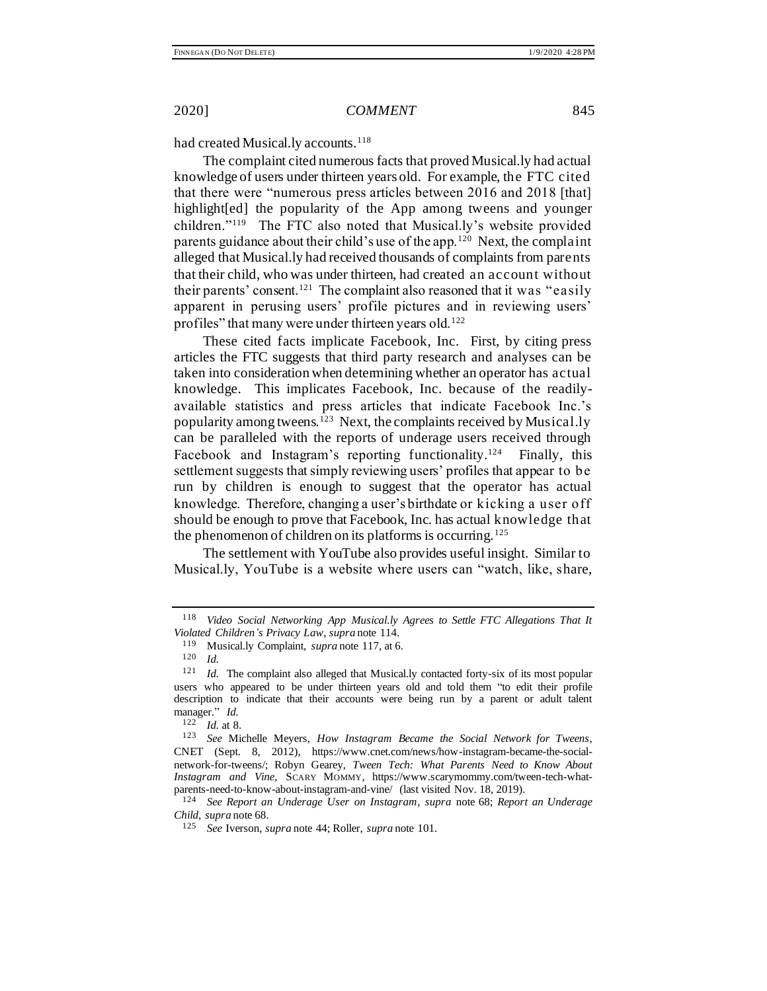had created Musical.ly accounts.<sup>118</sup>

The complaint cited numerous facts that proved Musical.ly had actual knowledge of users under thirteen years old. For example, the FTC cited that there were "numerous press articles between 2016 and 2018 [that] highlight[ed] the popularity of the App among tweens and younger children."<sup>119</sup> The FTC also noted that Musical.ly's website provided parents guidance about their child's use of the app.<sup>120</sup> Next, the complaint alleged that Musical.ly had received thousands of complaints from parents that their child, who was under thirteen, had created an account without their parents' consent.<sup>121</sup> The complaint also reasoned that it was "easily apparent in perusing users' profile pictures and in reviewing users' profiles" that many were under thirteen years old.<sup>122</sup>

These cited facts implicate Facebook, Inc. First, by citing press articles the FTC suggests that third party research and analyses can be taken into consideration when determining whether an operator has actual knowledge. This implicates Facebook, Inc. because of the readilyavailable statistics and press articles that indicate Facebook Inc.'s popularity among tweens.<sup>123</sup> Next, the complaints received by Musical.ly can be paralleled with the reports of underage users received through Facebook and Instagram's reporting functionality.<sup>124</sup> Finally, this settlement suggests that simply reviewing users' profiles that appear to be run by children is enough to suggest that the operator has actual knowledge. Therefore, changing a user's birthdate or kicking a user off should be enough to prove that Facebook, Inc. has actual knowledge that the phenomenon of children on its platforms is occurring.<sup>125</sup>

The settlement with YouTube also provides useful insight. Similar to Musical.ly, YouTube is a website where users can "watch, like, share,

<sup>118</sup> *Video Social Networking App Musical.ly Agrees to Settle FTC Allegations That It Violated Children's Privacy Law*, *supra* note [114.](#page-17-0)

<sup>119</sup> Musical.ly Complaint, *supra* not[e 117,](#page-17-1) at 6.

<sup>120</sup> *Id.* 

<sup>&</sup>lt;sup>121</sup> *Id.* The complaint also alleged that Musical.ly contacted forty-six of its most popular users who appeared to be under thirteen years old and told them "to edit their profile description to indicate that their accounts were being run by a parent or adult talent manager." *Id.* 

<sup>122</sup> *Id.* at 8.

<sup>123</sup> *See* Michelle Meyers, *How Instagram Became the Social Network for Tweens*, CNET (Sept. 8, 2012), https://www.cnet.com/news/how-instagram-became-the-socialnetwork-for-tweens/; Robyn Gearey, *Tween Tech: What Parents Need to Know About Instagram and Vine*, SCARY MOMMY, https://www.scarymommy.com/tween-tech-whatparents-need-to-know-about-instagram-and-vine/ (last visited Nov. 18, 2019).

<sup>124</sup> *See Report an Underage User on Instagram*, *supra* note [68;](#page-9-1) *Report an Underage Child*, *supra* note [68.](#page-9-1) 

<sup>125</sup> *See* Iverson, *supra* note [44;](#page-6-0) Roller, *supra* note [101.](#page-14-0)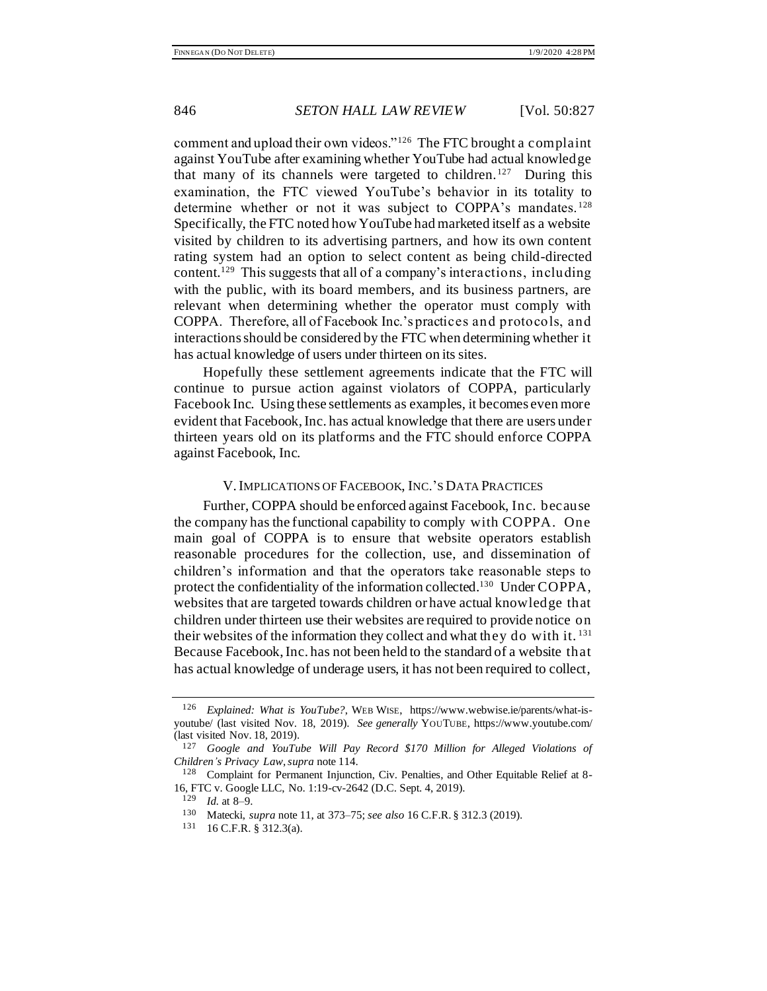comment and upload their own videos."<sup>126</sup> The FTC brought a complaint against YouTube after examining whether YouTube had actual knowledge that many of its channels were targeted to children.<sup>127</sup> During this examination, the FTC viewed YouTube's behavior in its totality to determine whether or not it was subject to COPPA's mandates.<sup>128</sup> Specifically, the FTC noted how YouTube had marketed itself as a website visited by children to its advertising partners, and how its own content rating system had an option to select content as being child-directed content.<sup>129</sup> This suggests that all of a company's interactions, including with the public, with its board members, and its business partners, are relevant when determining whether the operator must comply with COPPA. Therefore, all of Facebook Inc.'s practices and protocols, and interactions should be considered by the FTC when determining whether it has actual knowledge of users under thirteen on its sites.

Hopefully these settlement agreements indicate that the FTC will continue to pursue action against violators of COPPA, particularly Facebook Inc. Using these settlements as examples, it becomes even more evident that Facebook, Inc. has actual knowledge that there are users under thirteen years old on its platforms and the FTC should enforce COPPA against Facebook, Inc.

### V.IMPLICATIONS OF FACEBOOK, INC.'S DATA PRACTICES

Further, COPPA should be enforced against Facebook, Inc. because the company has the functional capability to comply with COPPA. One main goal of COPPA is to ensure that website operators establish reasonable procedures for the collection, use, and dissemination of children's information and that the operators take reasonable steps to protect the confidentiality of the information collected.<sup>130</sup> Under COPPA, websites that are targeted towards children or have actual knowledge that children under thirteen use their websites are required to provide notice on their websites of the information they collect and what they do with it. <sup>131</sup> Because Facebook, Inc. has not been held to the standard of a website that has actual knowledge of underage users, it has not been required to collect,

<sup>126</sup> *Explained: What is YouTube?*, WEB WISE, https://www.webwise.ie/parents/what-isyoutube/ (last visited Nov. 18, 2019). See generally YOUTUBE, https://www.youtube.com/ (last visited Nov. 18, 2019).

<sup>127</sup> *Google and YouTube Will Pay Record \$170 Million for Alleged Violations of Children's Privacy Law*, *supra* not[e 114.](#page-17-0)

<sup>&</sup>lt;sup>128</sup> Complaint for Permanent Injunction, Civ. Penalties, and Other Equitable Relief at 8-16, FTC v. Google LLC, No. 1:19-cv-2642 (D.C. Sept. 4, 2019).

<sup>129</sup> *Id.* at 8–9.

<sup>130</sup> Matecki, *supra* not[e 11,](#page-1-3) at 373–75; *see also* 16 C.F.R. § 312.3 (2019).

<sup>131</sup> 16 C.F.R. § 312.3(a).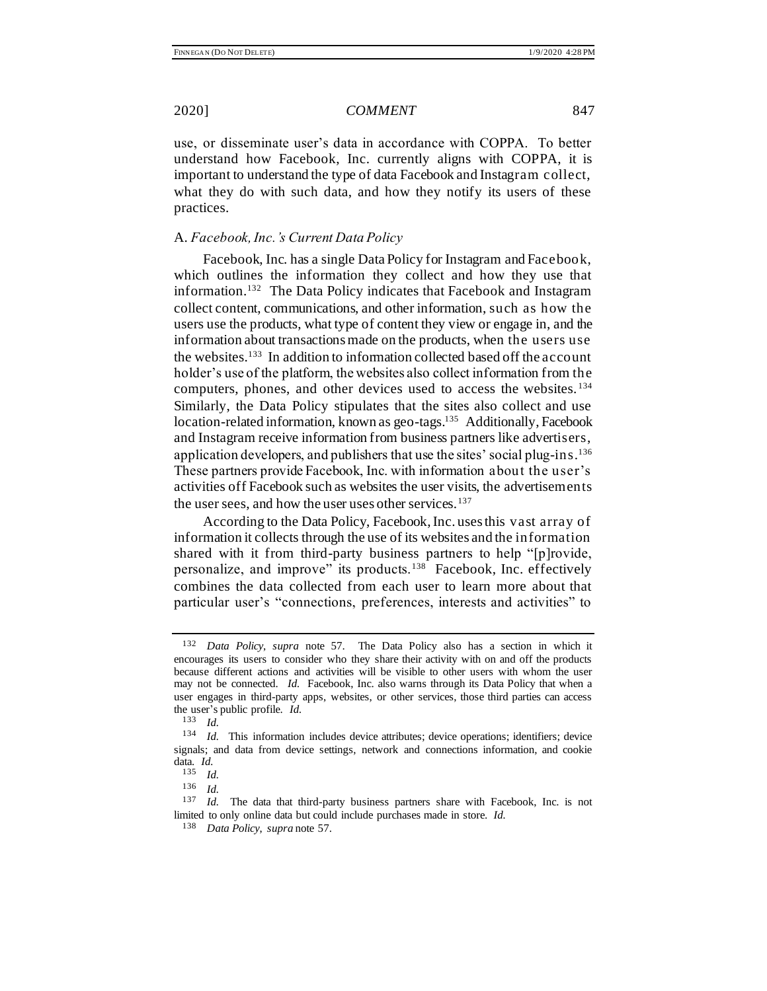use, or disseminate user's data in accordance with COPPA. To better understand how Facebook, Inc. currently aligns with COPPA, it is important to understand the type of data Facebook and Instagram collect, what they do with such data, and how they notify its users of these practices.

## A. *Facebook, Inc.'s Current Data Policy*

Facebook, Inc. has a single Data Policy for Instagram and Facebook, which outlines the information they collect and how they use that information.<sup>132</sup> The Data Policy indicates that Facebook and Instagram collect content, communications, and other information, such as how the users use the products, what type of content they view or engage in, and the information about transactions made on the products, when the users use the websites.<sup>133</sup> In addition to information collected based off the account holder's use of the platform, the websites also collect information from the computers, phones, and other devices used to access the websites.<sup>134</sup> Similarly, the Data Policy stipulates that the sites also collect and use location-related information, known as geo-tags.<sup>135</sup> Additionally, Facebook and Instagram receive information from business partners like advertisers, application developers, and publishers that use the sites' social plug-ins.<sup>136</sup> These partners provide Facebook, Inc. with information about the user's activities off Facebook such as websites the user visits, the advertisements the user sees, and how the user uses other services.<sup>137</sup>

According to the Data Policy, Facebook, Inc. uses this vast array of information it collects through the use of its websites and the information shared with it from third-party business partners to help "[p]rovide, personalize, and improve" its products.<sup>138</sup> Facebook, Inc. effectively combines the data collected from each user to learn more about that particular user's "connections, preferences, interests and activities" to

<sup>132</sup> *Data Policy*, *supra* note [57.](#page-7-2) The Data Policy also has a section in which it encourages its users to consider who they share their activity with on and off the products because different actions and activities will be visible to other users with whom the user may not be connected. *Id.* Facebook, Inc. also warns through its Data Policy that when a user engages in third-party apps, websites, or other services, those third parties can access the user's public profile. *Id.*

<sup>133</sup> *Id.*

<sup>134</sup> *Id.* This information includes device attributes; device operations; identifiers; device signals; and data from device settings, network and connections information, and cookie data. *Id.*

 $\frac{135}{136}$  *Id.* 

 $\frac{136}{137}$  *Id.* 

*Id.* The data that third-party business partners share with Facebook, Inc. is not limited to only online data but could include purchases made in store. *Id.*

<sup>138</sup> *Data Policy*, *supra* not[e 57.](#page-7-2)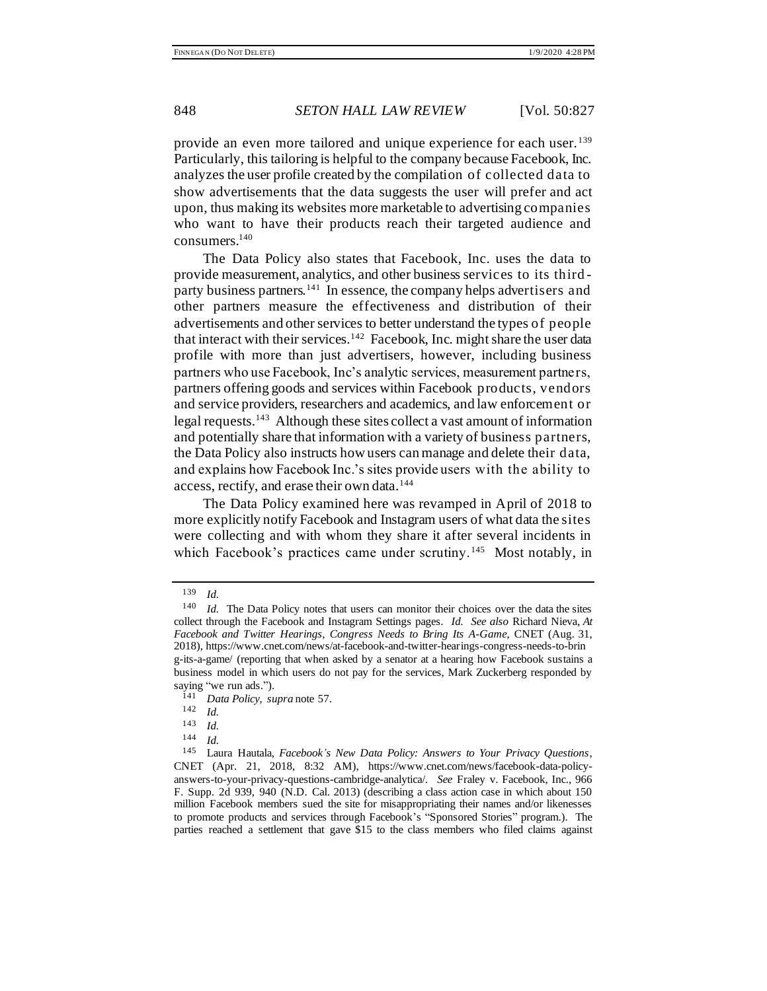provide an even more tailored and unique experience for each user. <sup>139</sup> Particularly, this tailoring is helpful to the company because Facebook, Inc. analyzes the user profile created by the compilation of collected data to show advertisements that the data suggests the user will prefer and act upon, thus making its websites more marketable to advertising companies who want to have their products reach their targeted audience and consumers.<sup>140</sup>

The Data Policy also states that Facebook, Inc. uses the data to provide measurement, analytics, and other business services to its third party business partners.<sup>141</sup> In essence, the company helps advertisers and other partners measure the effectiveness and distribution of their advertisements and other services to better understand the types of people that interact with their services.<sup>142</sup> Facebook, Inc. might share the user data profile with more than just advertisers, however, including business partners who use Facebook, Inc's analytic services, measurement partners, partners offering goods and services within Facebook products, vendors and service providers, researchers and academics, and law enforcement or legal requests.<sup>143</sup> Although these sites collect a vast amount of information and potentially share that information with a variety of business partners, the Data Policy also instructs how users can manage and delete their data, and explains how Facebook Inc.'s sites provide users with the ability to access, rectify, and erase their own data.<sup>144</sup>

The Data Policy examined here was revamped in April of 2018 to more explicitly notify Facebook and Instagram users of what data the sites were collecting and with whom they share it after several incidents in which Facebook's practices came under scrutiny.<sup>145</sup> Most notably, in

<span id="page-21-0"></span><sup>139</sup> *Id.*

<sup>&</sup>lt;sup>140</sup> *Id.* The Data Policy notes that users can monitor their choices over the data the sites collect through the Facebook and Instagram Settings pages. *Id. See also* Richard Nieva, *At Facebook and Twitter Hearings, Congress Needs to Bring Its A-Game*, CNET (Aug. 31, 2018), https://www.cnet.com/news/at-facebook-and-twitter-hearings-congress-needs-to-brin g-its-a-game/ (reporting that when asked by a senator at a hearing how Facebook sustains a business model in which users do not pay for the services, Mark Zuckerberg responded by saying "we run ads.").

<sup>141</sup> *Data Policy*, *supra* not[e 57.](#page-7-2)

 $\frac{142}{143}$  *Id.* 

 $\frac{143}{144}$  *Id.* 

 $\frac{144}{145}$  *Id.* 

Laura Hautala, *Facebook's New Data Policy: Answers to Your Privacy Questions*, CNET (Apr. 21, 2018, 8:32 AM), https://www.cnet.com/news/facebook-data-policyanswers-to-your-privacy-questions-cambridge-analytica/. *See* Fraley v. Facebook, Inc., 966 F. Supp. 2d 939, 940 (N.D. Cal. 2013) (describing a class action case in which about 150 million Facebook members sued the site for misappropriating their names and/or likenesses to promote products and services through Facebook's "Sponsored Stories" program.). The parties reached a settlement that gave \$15 to the class members who filed claims against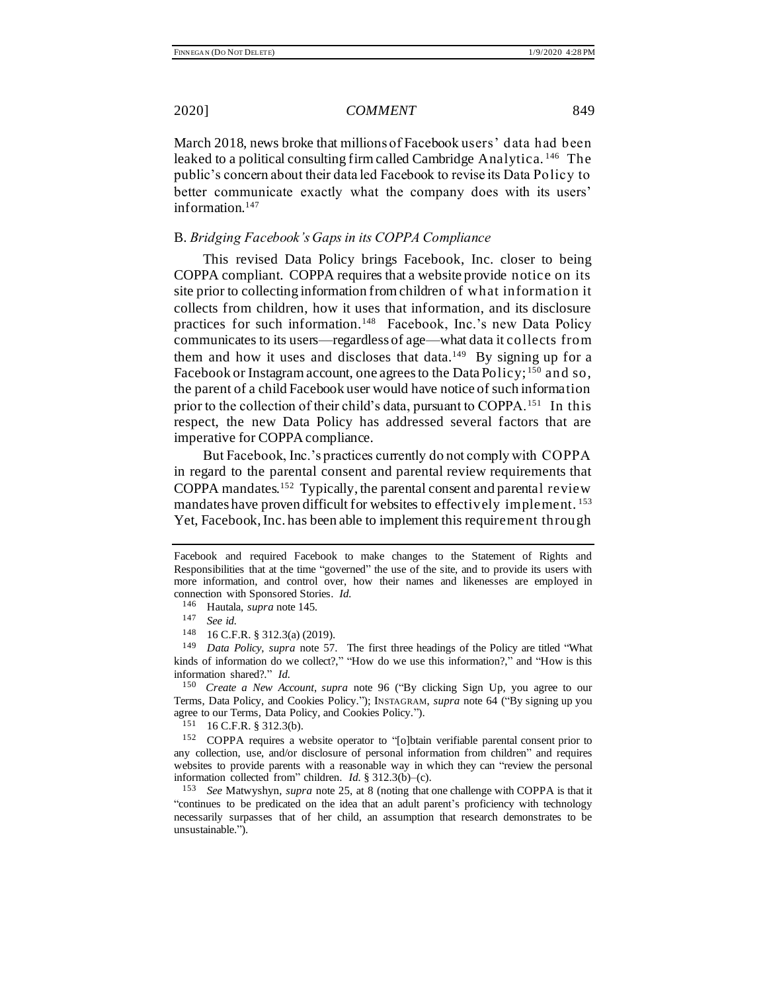March 2018, news broke that millions of Facebook users' data had been leaked to a political consulting firm called Cambridge Analytica.<sup>146</sup> The public's concern about their data led Facebook to revise its Data Policy to better communicate exactly what the company does with its users' information.<sup>147</sup>

### B. *Bridging Facebook's Gaps in its COPPA Compliance*

This revised Data Policy brings Facebook, Inc. closer to being COPPA compliant. COPPA requires that a website provide notice on its site prior to collecting information from children of what information it collects from children, how it uses that information, and its disclosure practices for such information.<sup>148</sup> Facebook, Inc.'s new Data Policy communicates to its users—regardless of age—what data it collects from them and how it uses and discloses that data.<sup>149</sup> By signing up for a Facebook or Instagram account, one agrees to the Data Policy; <sup>150</sup> and so, the parent of a child Facebook user would have notice of such information prior to the collection of their child's data, pursuant to COPPA.<sup>151</sup> In this respect, the new Data Policy has addressed several factors that are imperative for COPPA compliance.

But Facebook, Inc.'s practices currently do not comply with COPPA in regard to the parental consent and parental review requirements that COPPA mandates.<sup>152</sup> Typically, the parental consent and parental review mandates have proven difficult for websites to effectively implement.<sup>153</sup> Yet, Facebook, Inc. has been able to implement this requirement through

<sup>151</sup> 16 C.F.R. § 312.3(b).

Facebook and required Facebook to make changes to the Statement of Rights and Responsibilities that at the time "governed" the use of the site, and to provide its users with more information, and control over, how their names and likenesses are employed in connection with Sponsored Stories. *Id.* 

<sup>146</sup> Hautala, *supra* not[e 145](#page-21-0)*.*

<sup>147</sup> *See id.* 

<sup>148</sup> 16 C.F.R. § 312.3(a) (2019).

<sup>149</sup> *Data Policy*, *supra* not[e 57.](#page-7-2) The first three headings of the Policy are titled "What kinds of information do we collect?," "How do we use this information?," and "How is this information shared?." *Id.* 

<sup>150</sup> *Create a New Account*, *supra* note [96](#page-14-1) ("By clicking Sign Up, you agree to our Terms, Data Policy, and Cookies Policy."); INSTAGRAM, *supra* not[e 64](#page-9-2) ("By signing up you agree to our Terms, Data Policy, and Cookies Policy.").

<sup>152</sup> COPPA requires a website operator to "[o]btain verifiable parental consent prior to any collection, use, and/or disclosure of personal information from children" and requires websites to provide parents with a reasonable way in which they can "review the personal information collected from" children. *Id.* § 312.3(b)–(c).

<sup>153</sup> *See* Matwyshyn, *supra* not[e 25](#page-3-0), at 8 (noting that one challenge with COPPA is that it "continues to be predicated on the idea that an adult parent's proficiency with technology necessarily surpasses that of her child, an assumption that research demonstrates to be unsustainable.").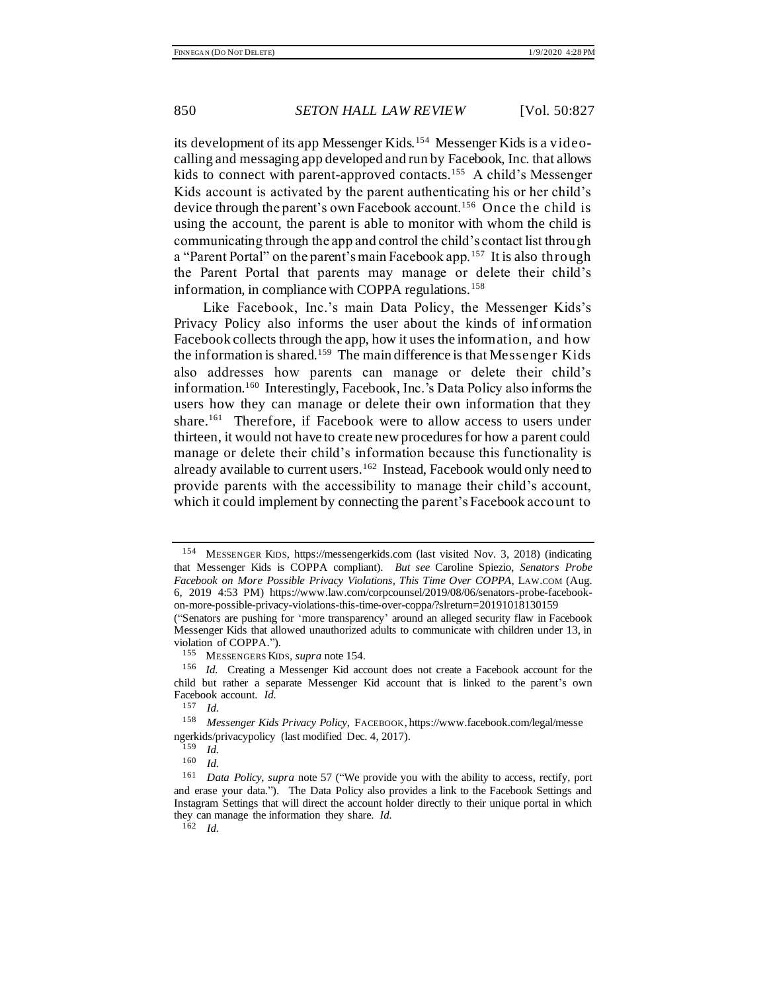<span id="page-23-0"></span>its development of its app Messenger Kids.<sup>154</sup> Messenger Kids is a videocalling and messaging app developed and run by Facebook, Inc. that allows kids to connect with parent-approved contacts.<sup>155</sup> A child's Messenger Kids account is activated by the parent authenticating his or her child's device through the parent's own Facebook account.<sup>156</sup> Once the child is using the account, the parent is able to monitor with whom the child is communicating through the app and control the child's contact list through a "Parent Portal" on the parent's main Facebook app.<sup>157</sup> It is also through the Parent Portal that parents may manage or delete their child's information, in compliance with COPPA regulations.<sup>158</sup>

Like Facebook, Inc.'s main Data Policy, the Messenger Kids's Privacy Policy also informs the user about the kinds of inf ormation Facebook collects through the app, how it uses the information, and how the information is shared.<sup>159</sup> The main difference is that Messenger Kids also addresses how parents can manage or delete their child's information.<sup>160</sup> Interestingly, Facebook, Inc.'s Data Policy also informs the users how they can manage or delete their own information that they share.<sup>161</sup> Therefore, if Facebook were to allow access to users under thirteen, it would not have to create new procedures for how a parent could manage or delete their child's information because this functionality is already available to current users.<sup>162</sup> Instead, Facebook would only need to provide parents with the accessibility to manage their child's account, which it could implement by connecting the parent's Facebook account to

 $162$  *Id.* 

<sup>154</sup> MESSENGER KIDS, https://messengerkids.com (last visited Nov. 3, 2018) (indicating that Messenger Kids is COPPA compliant). *But see* Caroline Spiezio, *Senators Probe Facebook on More Possible Privacy Violations, This Time Over COPPA*, LAW.COM (Aug. 6, 2019 4:53 PM) https://www.law.com/corpcounsel/2019/08/06/senators-probe-facebookon-more-possible-privacy-violations-this-time-over-coppa/?slreturn=20191018130159

<sup>(&</sup>quot;Senators are pushing for 'more transparency' around an alleged security flaw in Facebook Messenger Kids that allowed unauthorized adults to communicate with children under 13, in violation of COPPA.").

<sup>155</sup> MESSENGERS KIDS*, supra* not[e 154.](#page-23-0)

<sup>156</sup> *Id.* Creating a Messenger Kid account does not create a Facebook account for the child but rather a separate Messenger Kid account that is linked to the parent's own Facebook account. *Id.* 

 $\frac{157}{158}$  *Id.* 

<sup>158</sup> *Messenger Kids Privacy Policy*, FACEBOOK, https://www.facebook.com/legal/messe ngerkids/privacypolicy (last modified Dec. 4, 2017).<br> $\frac{159}{14}$ 

 $\frac{159}{160}$  *Id.* 

 $\frac{160}{161}$  *Id.* 

<sup>161</sup> *Data Policy*, *supra* not[e 57](#page-7-2) ("We provide you with the ability to access, rectify, port and erase your data."). The Data Policy also provides a link to the Facebook Settings and Instagram Settings that will direct the account holder directly to their unique portal in which they can manage the information they share. *Id.*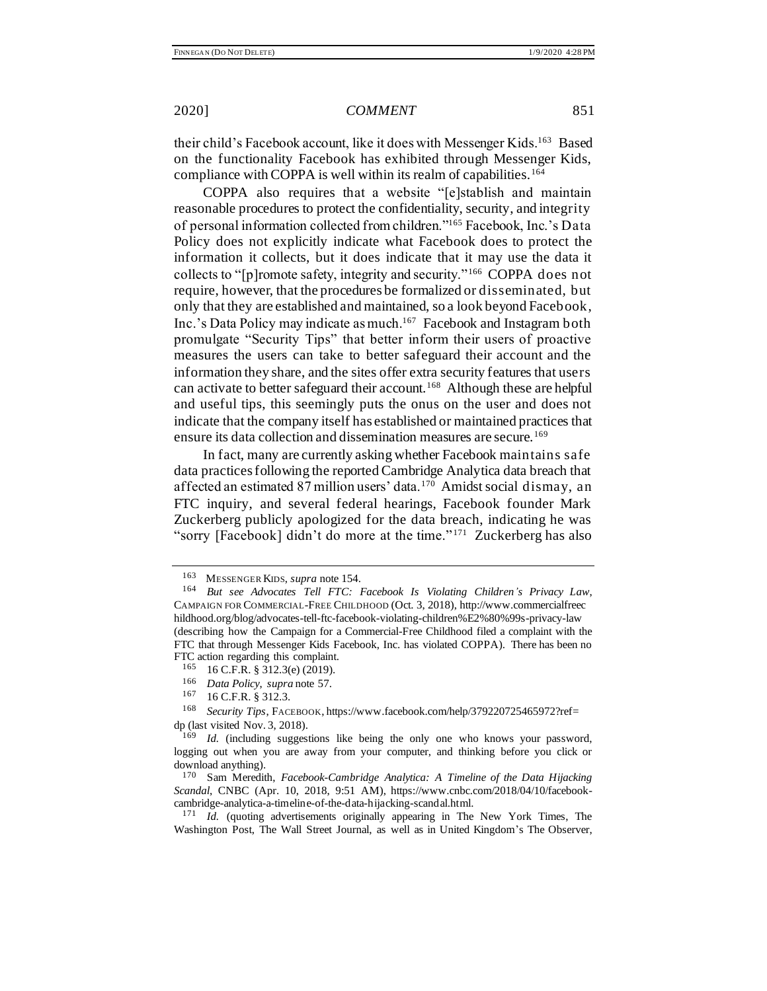their child's Facebook account, like it does with Messenger Kids.<sup>163</sup> Based on the functionality Facebook has exhibited through Messenger Kids, compliance with COPPA is well within its realm of capabilities.<sup>164</sup>

COPPA also requires that a website "[e]stablish and maintain reasonable procedures to protect the confidentiality, security, and integrity of personal information collected from children."<sup>165</sup> Facebook, Inc.'s Data Policy does not explicitly indicate what Facebook does to protect the information it collects, but it does indicate that it may use the data it collects to "[p]romote safety, integrity and security."<sup>166</sup> COPPA does not require, however, that the procedures be formalized or disseminated, but only that they are established and maintained, so a look beyond Facebook, Inc.'s Data Policy may indicate as much.<sup>167</sup> Facebook and Instagram both promulgate "Security Tips" that better inform their users of proactive measures the users can take to better safeguard their account and the information they share, and the sites offer extra security features that users can activate to better safeguard their account.<sup>168</sup> Although these are helpful and useful tips, this seemingly puts the onus on the user and does not indicate that the company itself has established or maintained practices that ensure its data collection and dissemination measures are secure.<sup>169</sup>

In fact, many are currently asking whether Facebook maintains safe data practices following the reported Cambridge Analytica data breach that affected an estimated 87 million users' data.<sup>170</sup> Amidst social dismay, an FTC inquiry, and several federal hearings, Facebook founder Mark Zuckerberg publicly apologized for the data breach, indicating he was "sorry [Facebook] didn't do more at the time."<sup>171</sup> Zuckerberg has also

<sup>163</sup> MESSENGER KIDS, *supra* not[e 154.](#page-23-0)

<sup>164</sup> *But see Advocates Tell FTC: Facebook Is Violating Children's Privacy Law*, CAMPAIGN FOR COMMERCIAL-FREE CHILDHOOD (Oct. 3, 2018), http://www.commercialfreec hildhood.org/blog/advocates-tell-ftc-facebook-violating-children%E2%80%99s-privacy-law (describing how the Campaign for a Commercial-Free Childhood filed a complaint with the FTC that through Messenger Kids Facebook, Inc. has violated COPPA). There has been no FTC action regarding this complaint.

<sup>165</sup> 16 C.F.R. § 312.3(e) (2019).

<sup>166</sup> *Data Policy*, *supra* not[e 57.](#page-7-2)

<sup>16</sup> C.F.R. § 312.3.

<sup>168</sup> *Security Tips*, FACEBOOK, https://www.facebook.com/help/379220725465972?ref= dp (last visited Nov. 3, 2018).

<sup>169</sup> *Id.* (including suggestions like being the only one who knows your password, logging out when you are away from your computer, and thinking before you click or download anything).

<sup>170</sup> Sam Meredith, *Facebook-Cambridge Analytica: A Timeline of the Data Hijacking Scandal*, CNBC (Apr. 10, 2018, 9:51 AM), https://www.cnbc.com/2018/04/10/facebookcambridge-analytica-a-timeline-of-the-data-hijacking-scandal.html.

<sup>171</sup> *Id.* (quoting advertisements originally appearing in The New York Times, The Washington Post, The Wall Street Journal, as well as in United Kingdom's The Observer,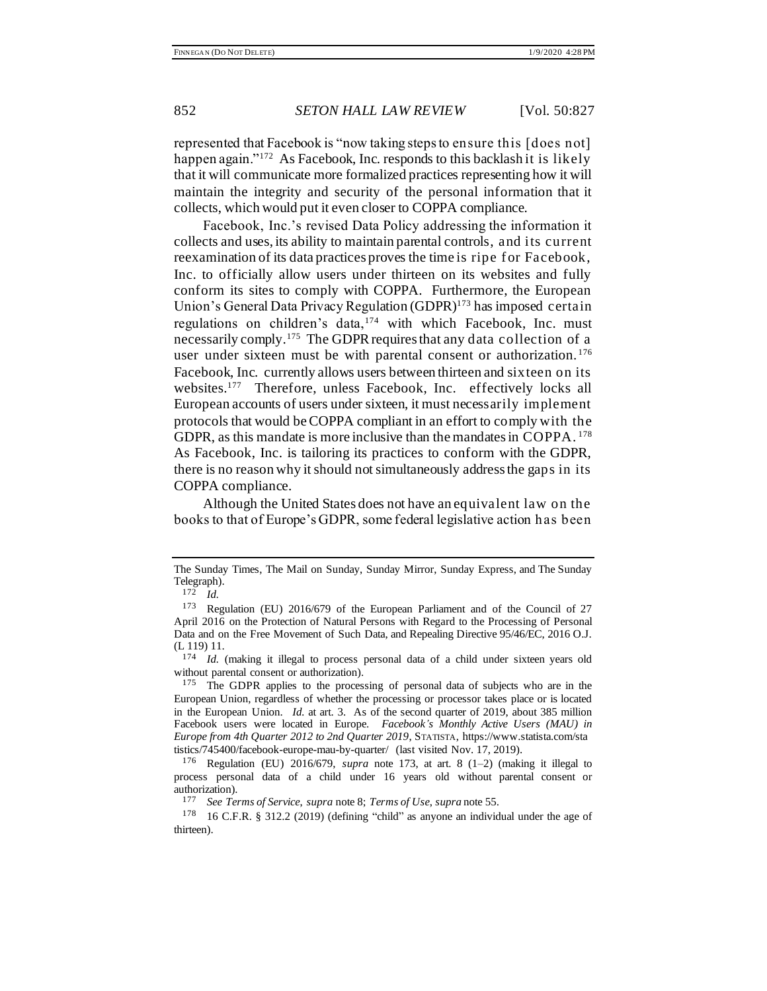represented that Facebook is "now taking steps to ensure this [does not] happen again."<sup>172</sup> As Facebook, Inc. responds to this backlash it is likely that it will communicate more formalized practices representing how it will maintain the integrity and security of the personal information that it collects, which would put it even closer to COPPA compliance.

<span id="page-25-0"></span>Facebook, Inc.'s revised Data Policy addressing the information it collects and uses, its ability to maintain parental controls, and its current reexamination of its data practices proves the time is ripe for Facebook, Inc. to officially allow users under thirteen on its websites and fully conform its sites to comply with COPPA. Furthermore, the European Union's General Data Privacy Regulation (GDPR)<sup>173</sup> has imposed certain regulations on children's data,<sup>174</sup> with which Facebook, Inc. must necessarily comply.<sup>175</sup> The GDPR requires that any data collection of a user under sixteen must be with parental consent or authorization.<sup>176</sup> Facebook, Inc. currently allows users between thirteen and sixteen on its websites.<sup>177</sup> Therefore, unless Facebook, Inc. effectively locks all European accounts of users under sixteen, it must necessarily implement protocols that would be COPPA compliant in an effort to comply with the GDPR, as this mandate is more inclusive than the mandates in COPPA. <sup>178</sup> As Facebook, Inc. is tailoring its practices to conform with the GDPR, there is no reason why it should not simultaneously address the gaps in its COPPA compliance.

Although the United States does not have an equivalent law on the books to that of Europe's GDPR, some federal legislative action has been

The Sunday Times, The Mail on Sunday, Sunday Mirror, Sunday Express, and The Sunday Telegraph).

<sup>172</sup> *Id.*

<sup>173</sup> Regulation (EU) 2016/679 of the European Parliament and of the Council of 27 April 2016 on the Protection of Natural Persons with Regard to the Processing of Personal Data and on the Free Movement of Such Data, and Repealing Directive 95/46/EC, 2016 O.J. (L 119) 11.

<sup>174</sup> *Id.* (making it illegal to process personal data of a child under sixteen years old without parental consent or authorization).

<sup>175</sup> The GDPR applies to the processing of personal data of subjects who are in the European Union, regardless of whether the processing or processor takes place or is located in the European Union. *Id.* at art. 3. As of the second quarter of 2019, about 385 million Facebook users were located in Europe. *Facebook's Monthly Active Users (MAU) in Europe from 4th Quarter 2012 to 2nd Quarter 2019*, STATISTA, https://www.statista.com/sta tistics/745400/facebook-europe-mau-by-quarter/ (last visited Nov. 17, 2019).

<sup>176</sup> Regulation (EU) 2016/679, *supra* note [173,](#page-25-0) at art. 8 (1–2) (making it illegal to process personal data of a child under 16 years old without parental consent or authorization).<br> $\frac{177}{\text{See T}}$ 

<sup>177</sup> *See Terms of Service*, *supra* not[e 8;](#page-1-2) *Terms of Use*, *supra* note [55.](#page-7-1)

<sup>178</sup> 16 C.F.R. § 312.2 (2019) (defining "child" as anyone an individual under the age of thirteen).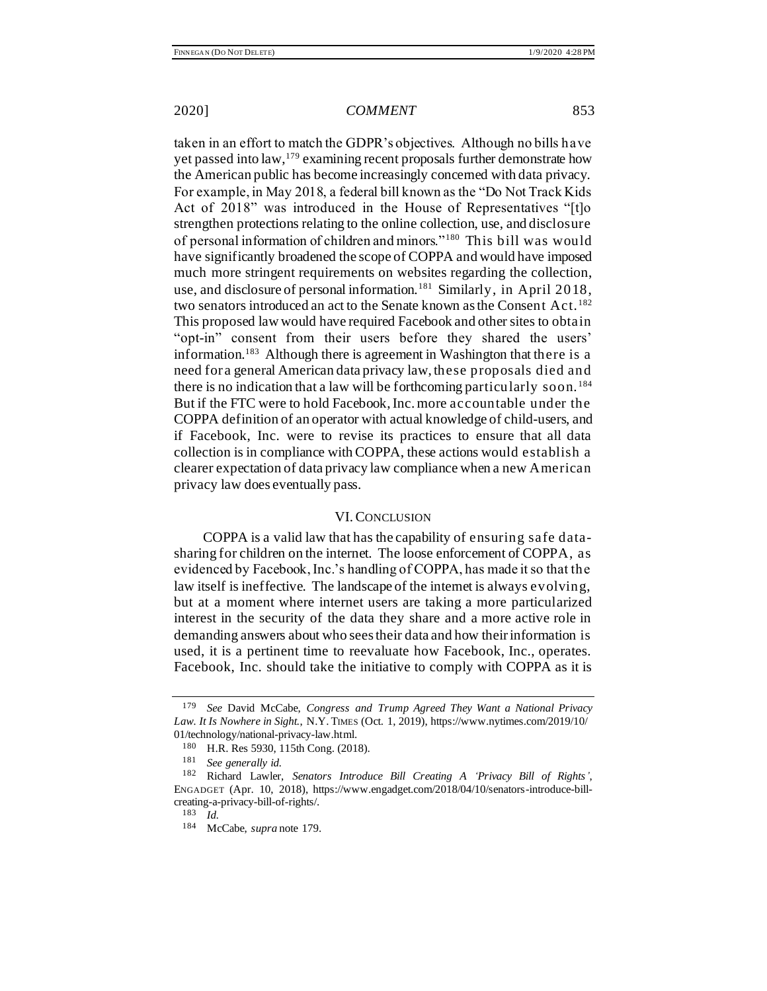<span id="page-26-0"></span>taken in an effort to match the GDPR's objectives. Although no bills have yet passed into law,<sup>179</sup> examining recent proposals further demonstrate how the American public has become increasingly concerned with data privacy. For example, in May 2018, a federal bill known as the "Do Not Track Kids Act of 2018" was introduced in the House of Representatives "[t]o strengthen protections relating to the online collection, use, and disclosure of personal information of children and minors."<sup>180</sup> This bill was would have significantly broadened the scope of COPPA and would have imposed much more stringent requirements on websites regarding the collection, use, and disclosure of personal information.<sup>181</sup> Similarly, in April 2018, two senators introduced an act to the Senate known as the Consent Act.<sup>182</sup> This proposed law would have required Facebook and other sites to obtain "opt-in" consent from their users before they shared the users' information.<sup>183</sup> Although there is agreement in Washington that there is a need for a general American data privacy law, these proposals died and there is no indication that a law will be forthcoming particularly soon.<sup>184</sup> But if the FTC were to hold Facebook, Inc. more accountable under the COPPA definition of an operator with actual knowledge of child-users, and if Facebook, Inc. were to revise its practices to ensure that all data collection is in compliance with COPPA, these actions would establish a clearer expectation of data privacy law compliance when a new American privacy law does eventually pass.

### VI.CONCLUSION

COPPA is a valid law that has the capability of ensuring safe datasharing for children on the internet. The loose enforcement of COPPA, as evidenced by Facebook, Inc.'s handling of COPPA, has made it so that the law itself is ineffective. The landscape of the internet is always evolving, but at a moment where internet users are taking a more particularized interest in the security of the data they share and a more active role in demanding answers about who sees their data and how their information is used, it is a pertinent time to reevaluate how Facebook, Inc., operates. Facebook, Inc. should take the initiative to comply with COPPA as it is

<sup>179</sup> *See* David McCabe, *Congress and Trump Agreed They Want a National Privacy Law. It Is Nowhere in Sight.*, N.Y. TIMES (Oct. 1, 2019), https://www.nytimes.com/2019/10/ 01/technology/national-privacy-law.html.<br><sup>180</sup> H.R. Res 5930, 115th Cong. (201

H.R. Res 5930, 115th Cong. (2018).

<sup>181</sup> *See generally id.* 

<sup>182</sup> Richard Lawler, *Senators Introduce Bill Creating A 'Privacy Bill of Rights'*, ENGADGET (Apr. 10, 2018), https://www.engadget.com/2018/04/10/senators-introduce-billcreating-a-privacy-bill-of-rights/.

 $183 \tilde{d}$ 

<sup>184</sup> McCabe, *supra* not[e 179.](#page-26-0)